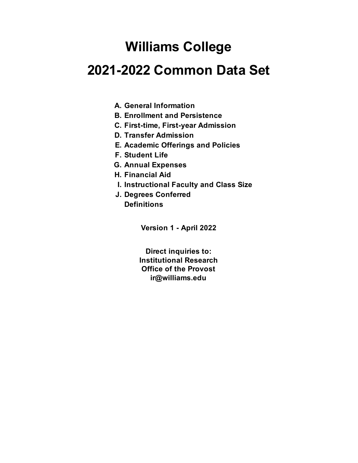# **Williams College**

# **2021-2022 Common Data Set**

- **A. General Information**
- **B. Enrollment and Persistence**
- **C. First-time, First-year Admission**
- **D. Transfer Admission**
- **E. Academic Offerings and Policies**
- **F. Student Life**
- **G. Annual Expenses**
- **H. Financial Aid**
- **I. Instructional Faculty and Class Size**
- **J. Degrees Conferred Definitions**

**Version 1 - April 2022**

**ir@williams.edu Office of the Provost Direct inquiries to: Institutional Research**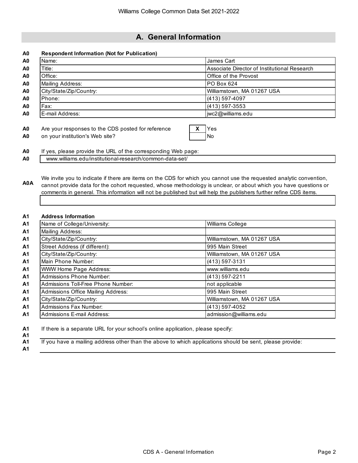# **A. General Information**

| <b>Respondent Information (Not for Publication)</b>                                                                                                                                                                                                                                                                                                           |   |                                              |
|---------------------------------------------------------------------------------------------------------------------------------------------------------------------------------------------------------------------------------------------------------------------------------------------------------------------------------------------------------------|---|----------------------------------------------|
| Name:                                                                                                                                                                                                                                                                                                                                                         |   | James Cart                                   |
| Title:                                                                                                                                                                                                                                                                                                                                                        |   | Associate Director of Institutional Research |
| Office:                                                                                                                                                                                                                                                                                                                                                       |   | Office of the Provost                        |
| Mailing Address:                                                                                                                                                                                                                                                                                                                                              |   | PO Box 624                                   |
| City/State/Zip/Country:                                                                                                                                                                                                                                                                                                                                       |   | Williamstown, MA 01267 USA                   |
| Phone:                                                                                                                                                                                                                                                                                                                                                        |   | $(413) 597-4097$                             |
| Fax:                                                                                                                                                                                                                                                                                                                                                          |   | $(413) 597 - 3553$                           |
| E-mail Address:                                                                                                                                                                                                                                                                                                                                               |   | jwc2@williams.edu                            |
| Are your responses to the CDS posted for reference                                                                                                                                                                                                                                                                                                            | х | Yes                                          |
| on your institution's Web site?                                                                                                                                                                                                                                                                                                                               |   | <b>No</b>                                    |
| If yes, please provide the URL of the corresponding Web page:                                                                                                                                                                                                                                                                                                 |   |                                              |
| www.williams.edu/institutional-research/common-data-set/                                                                                                                                                                                                                                                                                                      |   |                                              |
| We invite you to indicate if there are items on the CDS for which you cannot use the requested analytic convention,<br>cannot provide data for the cohort requested, whose methodology is unclear, or about which you have questions or<br>comments in general. This information will not be published but will help the publishers further refine CDS items. |   |                                              |
| <b>Address Information</b>                                                                                                                                                                                                                                                                                                                                    |   |                                              |
| Name of College/University:                                                                                                                                                                                                                                                                                                                                   |   | Williams College                             |
| Mailing Address:                                                                                                                                                                                                                                                                                                                                              |   |                                              |
| City/State/Zip/Country:                                                                                                                                                                                                                                                                                                                                       |   | Williamstown, MA 01267 USA                   |
| Street Address (if different):                                                                                                                                                                                                                                                                                                                                |   | 995 Main Street                              |
| City/State/Zip/Country:                                                                                                                                                                                                                                                                                                                                       |   | Williamstown, MA 01267 USA                   |
| Main Phone Number:                                                                                                                                                                                                                                                                                                                                            |   | (413) 597-3131                               |
| <b>WWW Home Page Address:</b>                                                                                                                                                                                                                                                                                                                                 |   | www.williams.edu                             |
| <b>Admissions Phone Number:</b>                                                                                                                                                                                                                                                                                                                               |   | (413) 597-2211                               |
| Admissions Toll-Free Phone Number:                                                                                                                                                                                                                                                                                                                            |   | not applicable                               |
| <b>Admissions Office Mailing Address:</b>                                                                                                                                                                                                                                                                                                                     |   | 995 Main Street                              |
| City/State/Zip/Country:                                                                                                                                                                                                                                                                                                                                       |   | Williamstown, MA 01267 USA                   |
| <b>Admissions Fax Number:</b>                                                                                                                                                                                                                                                                                                                                 |   | (413) 597-4052                               |

**A1**

**A1** If you have a mailing address other than the above to which applications should be sent, please provide: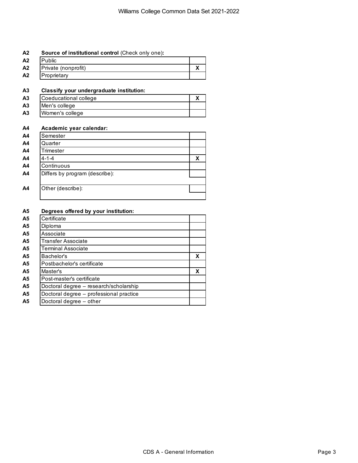# **A2 Source of institutional control** (Check only one)**:**

| A2 | Public              |  |
|----|---------------------|--|
| A2 | Private (nonprofit) |  |
| A2 | Proprietary         |  |

# **A3 Classify your undergraduate institution:**

| A <sub>3</sub> | Coeducational college |  |
|----------------|-----------------------|--|
| A <sub>3</sub> | Men's college         |  |
| A <sub>3</sub> | Women's college       |  |

# **A4 Academic year calendar:**

| X |
|---|
|   |
|   |
|   |
|   |
|   |

# **A5 Degrees offered by your institution:**

| Certificate                             |   |
|-----------------------------------------|---|
| Diploma                                 |   |
| Associate                               |   |
| <b>Transfer Associate</b>               |   |
| <b>Terminal Associate</b>               |   |
| Bachelor's                              | X |
| Postbachelor's certificate              |   |
| Master's                                | X |
| Post-master's certificate               |   |
| Doctoral degree - research/scholarship  |   |
| Doctoral degree - professional practice |   |
| Doctoral degree - other                 |   |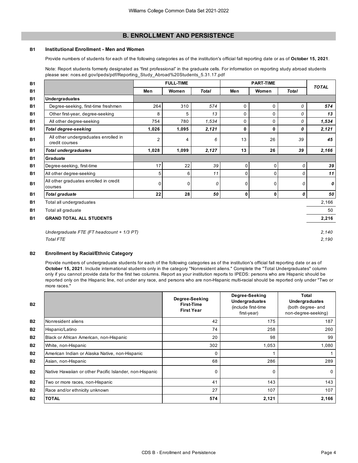# **B. ENROLLMENT AND PERSISTENCE**

#### **B1 Institutional Enrollment - Men and Women**

Provide numbers of students for each of the following categories as of the institution's official fall reporting date or as of **October 15, 2021**.

Note: Report students formerly designated as "first professional" in the graduate cells. For information on reporting study abroad students please see: nces.ed.gov/ipeds/pdf/Reporting\_Study\_Abroad%20Students\_5.31.17.pdf

|                                                        |                | <b>FULL-TIME</b><br><b>PART-TIME</b> |              |                |                |          | <b>TOTAL</b> |
|--------------------------------------------------------|----------------|--------------------------------------|--------------|----------------|----------------|----------|--------------|
|                                                        | Men            | Women                                | <b>Total</b> | Men            | Women          | Total    |              |
| Undergraduates                                         |                |                                      |              |                |                |          |              |
| Degree-seeking, first-time freshmen                    | 264            | 310                                  | 574          | $\mathbf 0$    | 0              | 0        | 574          |
| Other first-year, degree-seeking                       | 8              | 5                                    | 13           | $\mathbf 0$    | $\mathbf 0$    | 0        | 13           |
| All other degree-seeking                               | 754            | 780                                  | 1,534        | $\mathbf 0$    | $\Omega$       | 0        | 1,534        |
| <b>Total degree-seeking</b>                            | 1,026          | 1,095                                | 2,121        | 0              | $\bf{0}$       | 0        | 2,121        |
| All other undergraduates enrolled in<br>credit courses | $\overline{2}$ | 4                                    | 6            | 13             | 26             | 39       | 45           |
| <b>Total undergraduates</b>                            | 1,028          | 1,099                                | 2,127        | 13             | 26             | 39       | 2,166        |
| Graduate                                               |                |                                      |              |                |                |          |              |
| Degree-seeking, first-time                             | 17             | 22                                   | 39           | $\overline{0}$ | $\overline{0}$ | 0        | 39           |
| All other degree-seeking                               | 5              | 6                                    | 11           | $\Omega$       | 0              | n        | 11           |
| All other graduates enrolled in credit<br>courses      | $\Omega$       | $\Omega$                             | 0            | $\Omega$       | $\mathbf 0$    | $\Omega$ | 0            |
| Total graduate                                         | 22             | 28                                   | 50           | $\mathbf{0}$   | 0              | 0        | 50           |
| Total all undergraduates                               |                |                                      |              |                |                |          | 2,166        |
| Total all graduate                                     |                |                                      |              |                |                |          | 50           |
| <b>GRAND TOTAL ALL STUDENTS</b>                        |                |                                      |              |                |                |          | 2,216        |
| Undergraduate FTE (FT headcount + 1/3 PT)              |                |                                      |              |                |                |          | 2,140        |
| <b>Total FTE</b>                                       |                |                                      |              |                |                |          | 2,190        |

#### **B2 Enrollment by Racial/Ethnic Category**

Provide numbers of undergraduate students for each of the following categories as of the institution's official fall reporting date or as of October 15, 2021. Include international students only in the category "Nonresident aliens." Complete the "Total Undergraduates" column only if you cannot provide data for the first two columns. Report as your institution reports to IPEDS: persons who are Hispanic should be reported only on the Hispanic line, not under any race, and persons who are non-Hispanic multi-racial should be reported only under "Two or more races."

| <b>B2</b> |                                                         | Degree-Seeking<br><b>First-Time</b><br><b>First Year</b> | Degree-Seeking<br>Undergraduates<br>(include first-time<br>first-year) | Total<br>Undergraduates<br>(both degree- and<br>non-degree-seeking) |
|-----------|---------------------------------------------------------|----------------------------------------------------------|------------------------------------------------------------------------|---------------------------------------------------------------------|
| <b>B2</b> | Nonresident aliens                                      | 42                                                       | 175                                                                    | 187                                                                 |
| <b>B2</b> | Hispanic/Latino                                         | 74                                                       | 258                                                                    | 260                                                                 |
| <b>B2</b> | Black or African American, non-Hispanic                 | 20                                                       | 98                                                                     | 99                                                                  |
| <b>B2</b> | White, non-Hispanic                                     | 302                                                      | 1,053                                                                  | 1,080                                                               |
| <b>B2</b> | American Indian or Alaska Native, non-Hispanic          | 0                                                        |                                                                        |                                                                     |
| <b>B2</b> | Asian, non-Hispanic                                     | 68                                                       | 286                                                                    | 289                                                                 |
| <b>B2</b> | Native Hawaiian or other Pacific Islander, non-Hispanic | 0                                                        | 0                                                                      | 0                                                                   |
| <b>B2</b> | Two or more races, non-Hispanic                         | 41                                                       | 143                                                                    | 143                                                                 |
| <b>B2</b> | Race and/or ethnicity unknown                           | 27                                                       | 107                                                                    | 107                                                                 |
| <b>B2</b> | <b>TOTAL</b>                                            | 574                                                      | 2,121                                                                  | 2,166                                                               |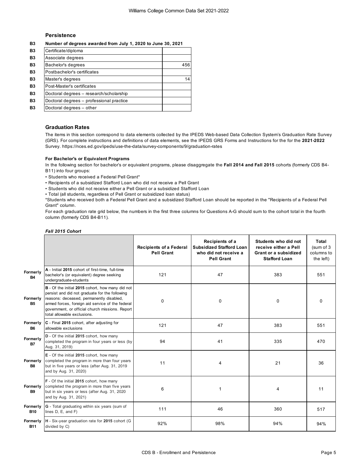## **Persistence**

**B3 Number of degrees awarded from July 1, 2020 to June 30, 2021**

| <b>B3</b>      | Certificate/diploma                      |     |
|----------------|------------------------------------------|-----|
| <b>B3</b>      | Associate degrees                        |     |
| <b>B3</b>      | Bachelor's degrees                       | 456 |
| <b>B3</b>      | Postbachelor's certificates              |     |
| <b>B3</b>      | Master's degrees                         | 14  |
| <b>B3</b>      | Post-Master's certificates               |     |
| <b>B3</b>      | Doctoral degrees - research/scholarship  |     |
| <b>B3</b>      | Doctoral degrees - professional practice |     |
| B <sub>3</sub> | Doctoral degrees - other                 |     |
|                |                                          |     |

### **Graduation Rates**

The items in this section correspond to data elements collected by the IPEDS Web-based Data Collection System's Graduation Rate Survey (GRS). For complete instructions and definitions of data elements, see the IPEDS GRS Forms and Instructions for the for the **2021-2022**  Survey. https://nces.ed.gov/ipeds/use-the-data/survey-components/9/graduation-rates

#### **For Bachelor's or Equivalent Programs**

In the following section for bachelor's or equivalent programs, please disaggregate the **Fall 2014 and Fall 2015** cohorts (formerly CDS B4- B11) into four groups:

- Students who received a Federal Pell Grant\*
- Recipients of a subsidized Stafford Loan who did not receive a Pell Grant
- Students who did not receive either a Pell Grant or a subsidized Stafford Loan
- Total (all students, regardless of Pell Grant or subsidized loan status)

\*Students who received both a Federal Pell Grant and a subsidized Stafford Loan should be reported in the "Recipients of a Federal Pell Grant" column.

For each graduation rate grid below, the numbers in the first three columns for Questions A-G should sum to the cohort total in the fourth column (formerly CDS B4-B11).

|                        |                                                                                                                                                                                                                                                                                      | <b>Recipients of a Federal</b><br><b>Pell Grant</b> | Recipients of a<br><b>Subsidized Stafford Loan</b><br>who did not receive a<br><b>Pell Grant</b> | Students who did not<br>receive either a Pell<br>Grant or a subsidized<br><b>Stafford Loan</b> | Total<br>(sum of 3<br>columns to<br>the left) |
|------------------------|--------------------------------------------------------------------------------------------------------------------------------------------------------------------------------------------------------------------------------------------------------------------------------------|-----------------------------------------------------|--------------------------------------------------------------------------------------------------|------------------------------------------------------------------------------------------------|-----------------------------------------------|
| Formerly<br><b>B4</b>  | A - Initial 2015 cohort of first-time, full-time<br>bachelor's (or equivalent) degree seeking<br>undergraduate-students                                                                                                                                                              | 121                                                 | 47                                                                                               | 383                                                                                            | 551                                           |
| Formerly<br><b>B5</b>  | B - Of the initial 2015 cohort, how many did not<br>persist and did not graduate for the following<br>reasons: deceased, permanently disabled,<br>armed forces, foreign aid service of the federal<br>government, or official church missions. Report<br>total allowable exclusions. | $\mathbf 0$                                         | $\mathbf 0$                                                                                      | 0                                                                                              | 0                                             |
| Formerly<br><b>B6</b>  | C - Final 2015 cohort, after adjusting for<br>allowable exclusions                                                                                                                                                                                                                   | 121                                                 | 47                                                                                               | 383                                                                                            | 551                                           |
| Formerly<br><b>B7</b>  | D - Of the initial 2015 cohort, how many<br>completed the program in four years or less (by<br>Aug. 31, 2019)                                                                                                                                                                        | 94                                                  | 41                                                                                               | 335                                                                                            | 470                                           |
| Formerly<br><b>B8</b>  | E - Of the initial 2015 cohort, how many<br>completed the program in more than four years<br>but in five years or less (after Aug. 31, 2019<br>and by Aug. 31, 2020)                                                                                                                 | 11                                                  | 4                                                                                                | 21                                                                                             | 36                                            |
| Formerly<br><b>B9</b>  | F - Of the initial 2015 cohort, how many<br>completed the program in more than five years<br>but in six years or less (after Aug. 31, 2020<br>and by Aug. 31, 2021)                                                                                                                  | 6                                                   | 1                                                                                                | 4                                                                                              | 11                                            |
| Formerly<br><b>B10</b> | G - Total graduating within six years (sum of<br>lines D, E, and F)                                                                                                                                                                                                                  | 111                                                 | 46                                                                                               | 360                                                                                            | 517                                           |
| Formerly<br><b>B11</b> | H - Six-year graduation rate for 2015 cohort (G<br>divided by C)                                                                                                                                                                                                                     | 92%                                                 | 98%                                                                                              | 94%                                                                                            | 94%                                           |

## *Fall 2015 Cohort*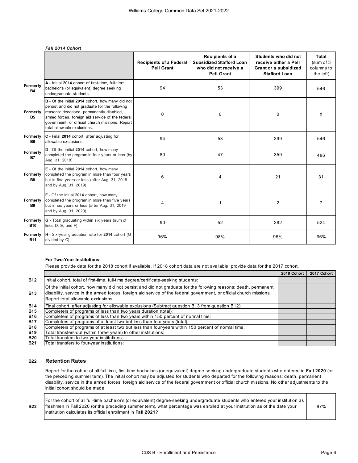### *Fall 2014 Cohort*

|                        |                                                                                                                                                                                                                                                                                      | <b>Recipients of a Federal</b><br><b>Pell Grant</b> | Recipients of a<br><b>Subsidized Stafford Loan</b><br>who did not receive a<br><b>Pell Grant</b> | Students who did not<br>receive either a Pell<br>Grant or a subsidized<br><b>Stafford Loan</b> | Total<br>(sum of 3<br>columns to<br>the left) |
|------------------------|--------------------------------------------------------------------------------------------------------------------------------------------------------------------------------------------------------------------------------------------------------------------------------------|-----------------------------------------------------|--------------------------------------------------------------------------------------------------|------------------------------------------------------------------------------------------------|-----------------------------------------------|
| Formerly<br><b>B4</b>  | A - Initial 2014 cohort of first-time, full-time<br>bachelor's (or equivalent) degree seeking<br>undergraduate-students                                                                                                                                                              | 94                                                  | 53                                                                                               | 399                                                                                            | 546                                           |
| Formerly<br><b>B5</b>  | B - Of the initial 2014 cohort, how many did not<br>persist and did not graduate for the following<br>reasons: deceased, permanently disabled,<br>armed forces, foreign aid service of the federal<br>government, or official church missions. Report<br>total allowable exclusions. | 0                                                   | 0                                                                                                | $\mathbf 0$                                                                                    | 0                                             |
| Formerly<br><b>B6</b>  | C - Final 2014 cohort, after adjusting for<br>allowable exclusions                                                                                                                                                                                                                   | 94                                                  | 53                                                                                               | 399                                                                                            | 546                                           |
| Formerly<br><b>B7</b>  | D - Of the initial 2014 cohort, how many<br>completed the program in four years or less (by<br>Aug. 31, 2018)                                                                                                                                                                        | 80                                                  | 47                                                                                               | 359                                                                                            | 486                                           |
| Formerly<br><b>B8</b>  | E - Of the initial 2014 cohort, how many<br>completed the program in more than four years<br>but in five years or less (after Aug. 31, 2018<br>and by Aug. 31, 2019)                                                                                                                 | 6                                                   | 4                                                                                                | 21                                                                                             | 31                                            |
| Formerly<br><b>B9</b>  | F - Of the initial 2014 cohort, how many<br>completed the program in more than five years<br>but in six years or less (after Aug. 31, 2019<br>and by Aug. 31, 2020)                                                                                                                  | 4                                                   | 1                                                                                                | 2                                                                                              | $\overline{7}$                                |
| Formerly<br><b>B10</b> | G - Total graduating within six years (sum of<br>lines D, E, and F)                                                                                                                                                                                                                  | 90                                                  | 52                                                                                               | 382                                                                                            | 524                                           |
| Formerly<br><b>B11</b> | H - Six-year graduation rate for 2014 cohort (G<br>divided by C)                                                                                                                                                                                                                     | 96%                                                 | 98%                                                                                              | 96%                                                                                            | 96%                                           |

# **For Two-Year Institutions**

Please provide data for the 2018 cohort if available. If 2018 cohort data are not available, provide data for the 2017 cohort.

|            |                                                                                                                                                                                                                                                                                | 2018 Cohort | 2017 Cohort |
|------------|--------------------------------------------------------------------------------------------------------------------------------------------------------------------------------------------------------------------------------------------------------------------------------|-------------|-------------|
| <b>B12</b> | Initial cohort, total of first-time, full-time degree/certificate-seeking students:                                                                                                                                                                                            |             |             |
| <b>B13</b> | Of the initial cohort, how many did not persist and did not graduate for the following reasons: death, permanent<br>disability, service in the armed forces, foreign aid service of the federal government, or official church missions.<br>Report total allowable exclusions: |             |             |
| <b>B14</b> | Final cohort, after adjusting for allowable exclusions (Subtract question B13 from question B12):                                                                                                                                                                              |             |             |
| <b>B15</b> | Completers of programs of less than two years duration (total):                                                                                                                                                                                                                |             |             |
| <b>B16</b> | Completers of programs of less than two years within 150 percent of normal time:                                                                                                                                                                                               |             |             |
| <b>B17</b> | Completers of programs of at least two but less than four years (total):                                                                                                                                                                                                       |             |             |
| <b>B18</b> | Completers of programs of at least two but less than four-years within 150 percent of normal time:                                                                                                                                                                             |             |             |
| <b>B19</b> | Total transfers-out (within three years) to other institutions:                                                                                                                                                                                                                |             |             |
| <b>B20</b> | Total transfers to two-year institutions:                                                                                                                                                                                                                                      |             |             |
| <b>B21</b> | Total transfers to four-year institutions:                                                                                                                                                                                                                                     |             |             |

## **B22 Retention Rates**

Report for the cohort of all full-time, first-time bachelor's (or equivalent) degree-seeking undergraduate students who entered in **Fall 2020** (or the preceding summer term). The initial cohort may be adjusted for students who departed for the following reasons: death, permanent disability, service in the armed forces, foreign aid service of the federal government or official church missions. No other adjustments to the initial cohort should be made.

**B22** freshmen in Fall 2020 (or the preceding summer term), what percentage was enrolled at your institution as of the date your  $\qquad \qquad \qquad 97\%$ For the cohort of all full-time bachelor's (or equivalent) degree-seeking undergraduate students who entered your institution as institution calculates its official enrollment in **Fall 2021**?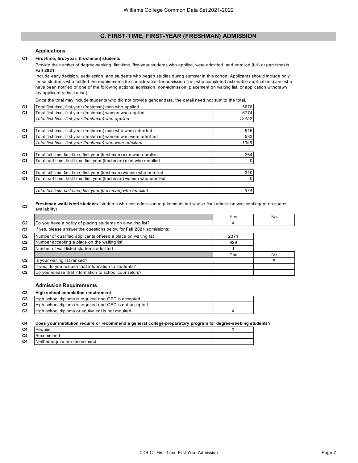# **C. FIRST-TIME, FIRST-YEAR (FRESHMAN) ADMISSION**

### **Applications**

## **C1 First-time, first-year, (freshmen) students:**

Provide the number of degree-seeking, first-time, first-year students who applied, were admitted, and enrolled (full- or part-time) in **Fall 2021**.

Include early decision, early action, and students who began studies during summer in this cohort. Applicants should include only those students who fulfilled the requirements for consideration for admission (i.e., who completed actionable applications) and who have been notified of one of the following actions: admission, non-admission, placement on waiting list, or application withdrawn (by applicant or institution).

Since the total may include students who did not provide gender data, the detail need not sum to the total.

| C <sub>1</sub> | Total first-time, first-year (freshman) men who applied               | 5678     |
|----------------|-----------------------------------------------------------------------|----------|
| C <sub>1</sub> | Total first-time, first-year (freshman) women who applied             | 6774     |
|                | Total first-time, first-year (freshman) who applied                   | 12452    |
| C1             | Total first-time, first-year (freshman) men who were admitted         | 516      |
| C <sub>1</sub> | Total first-time, first-year (freshman) women who were admitted       | 583      |
|                | Total first-time, first-year (freshman) who were admitted             | 1099     |
| C1             | Total full-time, first-time, first-year (freshman) men who enrolled   | 264      |
| C <sub>1</sub> | Total part-time, first-time, first-year (freshman) men who enrolled   | 0        |
| C <sub>1</sub> | Total full-time, first-time, first-year (freshman) women who enrolled | 310      |
|                |                                                                       |          |
| C1             | Total part-time, first-time, first-year (freshman) women who enrolled | $\Omega$ |
|                | Total full-time, first-time, first-year (freshman) who enrolled       | 574      |

#### **C2 Freshman wait-listed students** (students who met admission requirements but whose final admission was contingent on space availability)

|                                                                     | Yes  | No. |
|---------------------------------------------------------------------|------|-----|
| Do you have a policy of placing students on a waiting list?         |      |     |
| If yes, please answer the questions below for Fall 2021 admissions: |      |     |
| Number of qualified applicants offered a place on waiting list      | 2371 |     |
| Number accepting a place on the waiting list                        | 929  |     |
| Number of wait-listed students admitted                             |      |     |
|                                                                     | Yes  | No  |
| Is your waiting list ranked?                                        |      |     |
| If yes, do you release that information to students?                |      |     |
| Do you release that information to school counselors?               |      |     |

# **Admission Requirements**

| C3 | High school completion requirement                      |  |
|----|---------------------------------------------------------|--|
| C3 | High school diploma is required and GED is accepted     |  |
| C3 | High school diploma is required and GED is not accepted |  |
| C3 | High school diploma or equivalent is not required       |  |
|    |                                                         |  |

**C4 Does your institution require or recommend a general college-preparatory program for degree-seeking students?**

| C <sub>4</sub> | uire                          |  |
|----------------|-------------------------------|--|
| C <sub>4</sub> | Recommend                     |  |
| C <sub>4</sub> | Neither require nor recommend |  |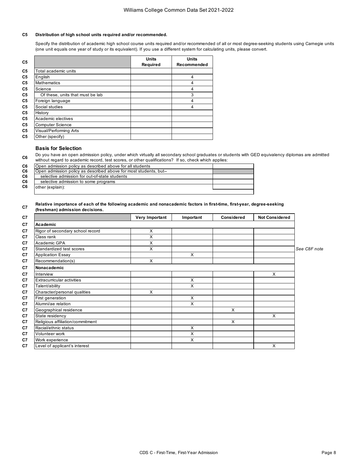# **C5 Distribution of high school units required and/or recommended.**

Specify the distribution of academic high school course units required and/or recommended of all or most degree-seeking students using Carnegie units (one unit equals one year of study or its equivalent). If you use a different system for calculating units, please convert.

| C <sub>5</sub> |                                  | <b>Units</b> | <b>Units</b> |
|----------------|----------------------------------|--------------|--------------|
|                |                                  | Required     | Recommended  |
| C <sub>5</sub> | Total academic units             |              |              |
| C <sub>5</sub> | English                          |              | 4            |
| C <sub>5</sub> | <b>Mathematics</b>               |              | 4            |
| C <sub>5</sub> | Science                          |              | 4            |
| C <sub>5</sub> | Of these, units that must be lab |              | 3            |
| C <sub>5</sub> | Foreign language                 |              | 4            |
| C <sub>5</sub> | Social studies                   |              | 4            |
| C <sub>5</sub> | History                          |              |              |
| C <sub>5</sub> | Academic electives               |              |              |
| C <sub>5</sub> | <b>Computer Science</b>          |              |              |
| C <sub>5</sub> | Visual/Performing Arts           |              |              |
| C <sub>5</sub> | Other (specify)                  |              |              |

# **Basis for Selection**

**C6** Do you have an open admission policy, under which virtually all secondary school graduates or students with GED equivalency diplomas are admitted without regard to academic record, test scores, or other qualifications? If so, check which applies:

| C6 | Open admission policy as described above for all students         |  |
|----|-------------------------------------------------------------------|--|
| C6 | Open admission policy as described above for most students, but-- |  |
| C6 | selective admission for out-of-state students                     |  |
| C6 | selective admission to some programs                              |  |
| C6 | other (explain):                                                  |  |
|    |                                                                   |  |

#### **C7 Relative importance of each of the following academic and nonacademic factors in first-time, first-year, degree-seeking (freshman) admission decisions.**

|                                  | Very Important | Important | Considered | <b>Not Considered</b> |              |
|----------------------------------|----------------|-----------|------------|-----------------------|--------------|
| Academic                         |                |           |            |                       |              |
| Rigor of secondary school record | X              |           |            |                       |              |
| Class rank                       | X              |           |            |                       |              |
| Academic GPA                     | X              |           |            |                       |              |
| Standardized test scores         | X              |           |            |                       | See C8F note |
| <b>Application Essay</b>         |                | X         |            |                       |              |
| Recommendation(s)                | X              |           |            |                       |              |
| Nonacademic                      |                |           |            |                       |              |
| Interview                        |                |           |            | X                     |              |
| Extracurricular activities       |                | X         |            |                       |              |
| Talent/ability                   |                | X         |            |                       |              |
| Character/personal qualities     | X              |           |            |                       |              |
| First generation                 |                | X         |            |                       |              |
| Alumni/ae relation               |                | X         |            |                       |              |
| Geographical residence           |                |           | X          |                       |              |
| State residency                  |                |           |            | X                     |              |
| Religious affiliation/commitment |                |           | X          |                       |              |
| Racial/ethnic status             |                | X         |            |                       |              |
| Volunteer work                   |                | X         |            |                       |              |
| Work experience                  |                | X         |            |                       |              |
| Level of applicant's interest    |                |           |            | X                     |              |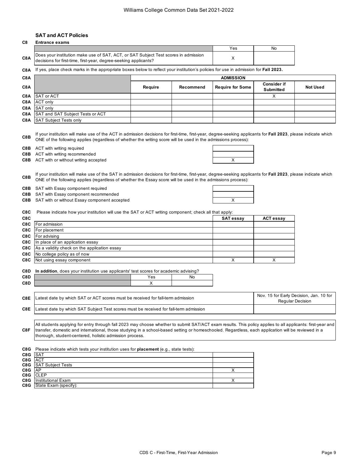# **SAT and ACT Policies**

**C8 Entrance exams** 

| uσ  | Eliualice exailis                                                                                                                                       |     |    |
|-----|---------------------------------------------------------------------------------------------------------------------------------------------------------|-----|----|
|     |                                                                                                                                                         | Yes | No |
| C8A | Does your institution make use of SAT, ACT, or SAT Subject Test scores in admission<br>decisions for first-time, first-year, degree-seeking applicants? |     |    |

**C8A** If yes, place check marks in the appropriate boxes below to reflect your institution's policies for use in admission for **Fall 2023.**

| C <sub>8</sub> A |                                             | <b>ADMISSION</b> |           |                         |                                 |                 |
|------------------|---------------------------------------------|------------------|-----------|-------------------------|---------------------------------|-----------------|
| C <sub>8</sub> A |                                             | Require          | Recommend | <b>Require for Some</b> | <b>Consider if</b><br>Submitted | <b>Not Used</b> |
|                  | <b>C8A</b> SAT or ACT                       |                  |           |                         |                                 |                 |
|                  | C8A ACT only                                |                  |           |                         |                                 |                 |
|                  | <b>C8A</b> SAT only                         |                  |           |                         |                                 |                 |
|                  | <b>C8A</b> SAT and SAT Subject Tests or ACT |                  |           |                         |                                 |                 |
|                  | <b>C8A</b> SAT Subject Tests only           |                  |           |                         |                                 |                 |

**C8B** If your institution will make use of the ACT in admission decisions for first-time, first-year, degree-seeking applicants for **Fall 2023**, please indicate which ONE of the following applies (regardless of whether the writing score will be used in the admissions process):

**C8B** ACT with writing required

**C8B** ACT with writing recommended

**C8B** ACT with or without writing accepted

| X |  |
|---|--|

**C8B** If your institution will make use of the SAT in admission decisions for first-time, first-year, degree-seeking applicants for **Fall 2023**, please indicate which ONE of the following applies (regardless of whether the Essay score will be used in the admissions process):

**C8B** SAT with Essay component required

**C8B** SAT with Essay component recommended

**C8B** SAT with or without Essay component accepted X

|  | C8C Please indicate how your institution will use the SAT or ACT writing component; check all that apply: |
|--|-----------------------------------------------------------------------------------------------------------|
|  |                                                                                                           |

| C8C |                                                         | <b>SAT essay</b> | <b>ACT essay</b> |
|-----|---------------------------------------------------------|------------------|------------------|
|     | <b>C8C</b> For admission                                |                  |                  |
|     | <b>C8C</b> For placement                                |                  |                  |
|     | <b>C8C</b> For advising                                 |                  |                  |
|     | <b>C8C</b> In place of an application essay             |                  |                  |
|     | <b>C8C</b> As a validity check on the application essay |                  |                  |
|     | <b>C8C</b> No college policy as of now                  |                  |                  |
|     | <b>C8C</b> Not using essay component                    |                  |                  |

|  |  |  |  | C8D In addition, does your institution use applicants' test scores for academic advising? |
|--|--|--|--|-------------------------------------------------------------------------------------------|
|--|--|--|--|-------------------------------------------------------------------------------------------|

| C8D | res | NC. |
|-----|-----|-----|
| C8D |     |     |
|     |     |     |

| C8E Latest date by which SAT or ACT scores must be received for fall-term admission              | Nov. 15 for Early Decision, Jan. 10 for<br>Regular Decision |
|--------------------------------------------------------------------------------------------------|-------------------------------------------------------------|
| <b>C8E</b> Latest date by which SAT Subject Test scores must be received for fall-term admission |                                                             |

**C8F** All students applying for entry through fall 2023 may choose whether to submit SAT/ACT exam results. This policy applies to all applicants: first-year and transfer, domestic and international, those studying in a school-based setting or homeschooled. Regardless, each application will be reviewed in a thorough, student-centered, holistic admission process.

**C8G C8G C8G C8G C8G** X **C8G C8G** X Institutional Exam Please indicate which tests your institution uses for **placement** (e.g., state tests): SAT ACT SAT Subject Tests AP **CLEP** 

**C8G** State Exam (specify):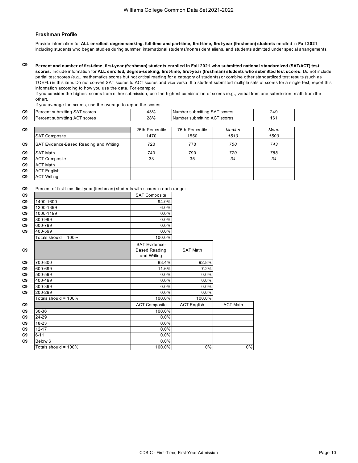### **Freshman Profile**

Provide information for **ALL enrolled, degree-seeking, full-time and part-time, first-time, first-year (freshman) students** enrolled in **Fall 2021**, including students who began studies during summer, international students/nonresident aliens, and students admitted under special arrangements.

**C9 Percent and number of first-time, first-year (freshman) students enrolled in Fall 2021 who submitted national standardized (SAT/ACT) test scores**. Include information for **ALL enrolled, degree-seeking, first-time, first-year (freshman) students who submitted test scores.** Do not include partial test scores (e.g., mathematics scores but not critical reading for a category of students) or combine other standardized test results (such as TOEFL) in this item. Do not convert SAT scores to ACT scores and vice versa. If a student submitted multiple sets of scores for a single test, report this information according to how you use the data. For example:

If you consider the highest scores from either submission, use the highest combination of scores (e.g., verbal from one submission, math from the other).

If you average the scores, use the average to report the scores.

| C <sub>9</sub> | IPercent submitting SAT scores | 43% | Number submitting SAT scores | 249 |
|----------------|--------------------------------|-----|------------------------------|-----|
| C <sub>9</sub> | Percent submitting ACT scores  | 28% | Number submitting ACT scores | 161 |
|                |                                |     |                              |     |

| C <sub>9</sub> |                                        | 25th Percentile | 75th Percentile | Median | Mean |
|----------------|----------------------------------------|-----------------|-----------------|--------|------|
|                | <b>SAT Composite</b>                   | 1470            | 1550            | 1510   | 1500 |
| C9             | SAT Evidence-Based Reading and Writing | 720             | 770             | 750    | 743  |
| C <sub>9</sub> | <b>SAT Math</b>                        | 740             | 790             | 770    | 758  |
| C <sub>9</sub> | <b>ACT Composite</b>                   | 33              | 35              | 34     | 34   |
| C <sub>9</sub> | <b>ACT Math</b>                        |                 |                 |        |      |
| C <sub>9</sub> | <b>ACT English</b>                     |                 |                 |        |      |
| C <sub>9</sub> | <b>ACT Writing</b>                     |                 |                 |        |      |

**C9** Percent of first-time, first-year (freshman) students with scores in each range:

| C9             |                      | <b>SAT Composite</b>                                        |                    |                 |
|----------------|----------------------|-------------------------------------------------------------|--------------------|-----------------|
| C9             | 1400-1600            | 94.0%                                                       |                    |                 |
| C9             | 1200-1399            | 6.0%                                                        |                    |                 |
| C9             | 1000-1199            | 0.0%                                                        |                    |                 |
| C9             | 800-999              | 0.0%                                                        |                    |                 |
| C9             | 600-799              | 0.0%                                                        |                    |                 |
| C <sub>9</sub> | 400-599              | 0.0%                                                        |                    |                 |
|                | Totals should = 100% | 100.0%                                                      |                    |                 |
| C9             |                      | <b>SAT Evidence-</b><br><b>Based Reading</b><br>and Writing | <b>SAT Math</b>    |                 |
| C9             | 700-800              | 88.4%                                                       | 92.8%              |                 |
| C <sub>9</sub> | 600-699              | 11.6%                                                       | 7.2%               |                 |
| C9             | 500-599              | 0.0%                                                        | 0.0%               |                 |
| C9             | 400-499              | 0.0%                                                        | 0.0%               |                 |
| C9             | 300-399              | 0.0%                                                        | 0.0%               |                 |
| C <sub>9</sub> | 200-299              | 0.0%                                                        | 0.0%               |                 |
|                | Totals should = 100% | 100.0%                                                      | 100.0%             |                 |
| C9             |                      | <b>ACT Composite</b>                                        | <b>ACT English</b> | <b>ACT Math</b> |
| C9             | 30-36                | 100.0%                                                      |                    |                 |
| C <sub>9</sub> | 24-29                | 0.0%                                                        |                    |                 |
| C9             | 18-23                | 0.0%                                                        |                    |                 |
| C9             | $12 - 17$            | 0.0%                                                        |                    |                 |
| C9             | $6 - 11$             | 0.0%                                                        |                    |                 |
| C <sub>9</sub> | Below 6              | 0.0%                                                        |                    |                 |
|                | Totals should = 100% | 100.0%                                                      | 0%                 | $0\%$           |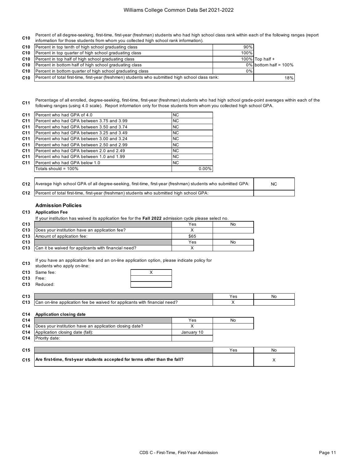**C10** Percent of all degree-seeking, first-time, first-year (freshman) students who had high school class rank within each of the following ranges (report information for those students from whom you collected high school rank information).

|                 | <b>C10</b> Percent in top tenth of high school graduating class                                   | 90%   |                          |
|-----------------|---------------------------------------------------------------------------------------------------|-------|--------------------------|
| C10             | Percent in top quarter of high school graduating class                                            | 100%  |                          |
| C10             | Percent in top half of high school graduating class                                               |       | 100% Top half $+$        |
| C <sub>10</sub> | Percent in bottom half of high school graduating class                                            |       | $0\%$ bottom half = 100% |
|                 | <b>C10</b> Percent in bottom quarter of high school graduating class                              | $0\%$ |                          |
| C10             | Percent of total first-time, first-year (freshmen) students who submitted high school class rank: | 18%   |                          |

**C11** Percentage of all enrolled, degree-seeking, first-time, first-year (freshman) students who had high school grade-point averages within each of the following ranges (using 4.0 scale). Report information only for those students from whom you collected high school GPA.

| C <sub>11</sub> | Percent who had GPA of 4.0                | <b>NC</b> |       |
|-----------------|-------------------------------------------|-----------|-------|
| C <sub>11</sub> | Percent who had GPA between 3.75 and 3.99 | <b>NC</b> |       |
| C <sub>11</sub> | Percent who had GPA between 3.50 and 3.74 | <b>NC</b> |       |
| C <sub>11</sub> | Percent who had GPA between 3.25 and 3.49 | <b>NC</b> |       |
| C11             | Percent who had GPA between 3.00 and 3.24 | <b>NC</b> |       |
| C <sub>11</sub> | Percent who had GPA between 2.50 and 2.99 | <b>NC</b> |       |
| C <sub>11</sub> | Percent who had GPA between 2.0 and 2.49  | <b>NC</b> |       |
| C <sub>11</sub> | Percent who had GPA between 1.0 and 1.99  | <b>NC</b> |       |
| C <sub>11</sub> | Percent who had GPA below 1.0             | <b>NC</b> |       |
|                 | Totals should = $100\%$                   |           | 0.00% |
|                 |                                           |           |       |

| C12 Average high school GPA of all degree-seeking, first-time, first-year (freshman) students who submitted GPA: i | <b>NC</b> |
|--------------------------------------------------------------------------------------------------------------------|-----------|
| C12 Percent of total first-time, first-year (freshman) students who submitted high school GPA:                     |           |

# **Admission Policies**

### **C13 Application Fee**

If your institution has waived its application fee for the **Fall 2022** admission cycle please select no.

| C13             |                                                      | Yes  | No |
|-----------------|------------------------------------------------------|------|----|
| C <sub>13</sub> | Does your institution have an application fee?       |      |    |
| C <sub>13</sub> | Amount of application fee:                           | \$65 |    |
| C <sub>13</sub> |                                                      | Yes  | No |
| C <sub>13</sub> | Can it be waived for applicants with financial need? |      |    |

**C13** If you have an application fee and an on-line application option, please indicate policy for

students who apply on-line:

| C13 Same fee: |  |
|---------------|--|
| C13 Free:     |  |
| C13 Reduced:  |  |

| C13 |                                                                                                                                      | ಀ | Νc |
|-----|--------------------------------------------------------------------------------------------------------------------------------------|---|----|
| C13 | $\cdots$<br>∟need<br>with<br>, application fee be waived for applicants $\cdot$<br>tinancial<br>า-line<br>$\sim$<br>้ก r<br>Udi<br>v |   |    |

### **C14 Application closing date**

| C <sub>14</sub> |                                                             | Yes        | No |
|-----------------|-------------------------------------------------------------|------------|----|
|                 | C14 Does your institution have an application closing date? |            |    |
|                 | <b>C14</b> Application closing date (fall):                 | January 10 |    |
|                 | <b>C14</b> Priority date:                                   |            |    |

| C <sub>15</sub> |                                                                                                     | Yes | No |
|-----------------|-----------------------------------------------------------------------------------------------------|-----|----|
|                 | C <sub>15</sub> $\vert$ Are first-time, first-year students accepted for terms other than the fall? |     |    |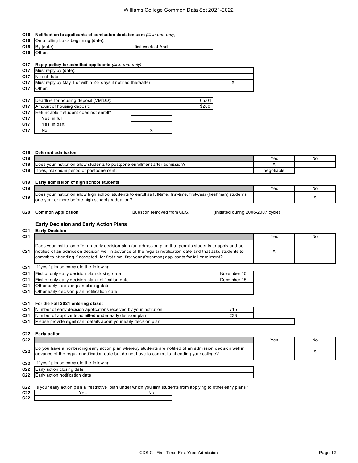### **C16 Notification to applicants of admission decision sent** *(fill in one only)*

| <b>C16</b> On a rolling basis beginning (date): |                     |
|-------------------------------------------------|---------------------|
| $C16$ By (date):                                | first week of April |
| C <sub>16</sub> Other:                          |                     |

### **C17 Reply policy for admitted applicants** *(fill in one only)*

| C <sub>17</sub> | Must reply by (date):                                         |  |
|-----------------|---------------------------------------------------------------|--|
| C <sub>17</sub> | No set date:                                                  |  |
| C <sub>17</sub> | Must reply by May 1 or within 2-3 days if notified thereafter |  |
| C <sub>17</sub> | Other:                                                        |  |
|                 |                                                               |  |
| C <sub>17</sub> | 05/01<br>Deadline for housing deposit (MM/DD):                |  |
| C <sub>17</sub> | \$200<br>Amount of housing deposit:                           |  |

| C <sub>17</sub> | Refundable if student does not enroll? |  |
|-----------------|----------------------------------------|--|
| C <sub>17</sub> | Yes, in full                           |  |
| C <sub>17</sub> | Yes, in part                           |  |
| C <sub>17</sub> | No                                     |  |

#### **C18 Deferred admission**

| C18 |                                                                                    | ∨es        | <b>No</b> |
|-----|------------------------------------------------------------------------------------|------------|-----------|
| C18 | allow students to postpone enrollment after admission?<br>vour institution<br>Does |            |           |
| C18 | postponement:"<br>maximum period of<br>$\sim$<br>'t ves.                           | negotiable |           |

# **C19 Early admission of high school students**

| C19 |                                                                                                                                                                                                      | ′es | No |
|-----|------------------------------------------------------------------------------------------------------------------------------------------------------------------------------------------------------|-----|----|
| C19 | . school students to enroll as full-time. د<br>first-time<br>ı allow high.<br>, first-year (freshman<br>IDoes vour institution_<br>) students<br>or more before high school graduation:<br>lone vear |     |    |
|     |                                                                                                                                                                                                      |     |    |

Question removed from CDS.

**C20 Common Application C20** Common **Application C20** Common **Application C20** Cycle)

## **Early Decision and Early Action Plans**

#### **C21 Early Decision C21 |** Yes No **C21** Inotified of an admission decision well in advance of the regular notification date and that asks students to  $\qquad$  X **C21 C21** First or only early decision plan closing date **C21 First or only early decision plan closing date C21 C21** First or only early decision plan notification date **C21 Exercise 15** December 15 **C21 C21 C21 C21** 715 Number of early decision applications received by your institution **C21** 238 Number of applicants admitted under early decision plan **C21 C22 Early action C22** Yes No. 2014 12:00:00 PM 2014 12:00:00 PM 2014 12:00:00 PM 2014 12:00:00 PM 2014 12:00:00 PM 2014 12:00:00 C22 advance of the regular notification date but do not have to commit to attending your college? **C22 C22 C22** Does your institution offer an early decision plan (an admission plan that permits students to apply and be commit to attending if accepted) for first-time, first-year (freshman) applicants for fall enrollment? If "yes," please complete the following: Do you have a nonbinding early action plan whereby students are notified of an admission decision well in If "yes," please complete the following: Early action closing date Early action notification date Other early decision plan closing date Other early decision plan notification date **For the Fall 2021 entering class:** Please provide significant details about your early decision plan:

**C22** Is your early action plan a "restrictive" plan under which you limit students from applying to other early plans?

| C22 | ဗဒ | Νo |
|-----|----|----|
| C22 |    |    |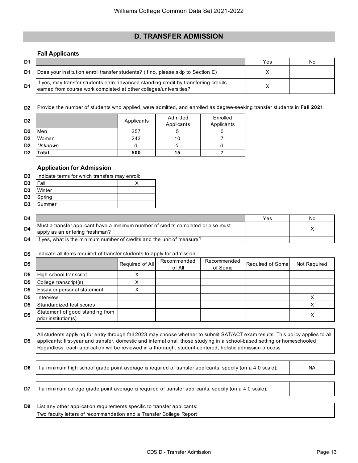# **D. TRANSFER ADMISSION**

# **Fall Applicants**

| D <sub>1</sub> |                                                                                                                                                          | Yes | Νo |
|----------------|----------------------------------------------------------------------------------------------------------------------------------------------------------|-----|----|
| D1             | [Does your institution enroll transfer students? (If no, please skip to Section E)                                                                       |     |    |
| D <sub>1</sub> | If yes, may transfer students earn advanced standing credit by transferring credits<br>earned from course work completed at other colleges/universities? |     |    |

**D2** Provide the number of students who applied, were admitted, and enrolled as degree-seeking transfer students in **Fall 2021**.

| D <sub>2</sub> |         | Applicants | Admitted<br>Applicants | Enrolled<br>Applicants |
|----------------|---------|------------|------------------------|------------------------|
| D <sub>2</sub> | Men     | 257        | 5                      |                        |
| D <sub>2</sub> | Women   | 243        | 10                     |                        |
| D <sub>2</sub> | Unknown |            |                        |                        |
| D <sub>2</sub> | Total   | 500        | 15                     |                        |

# **Application for Admission**

| <b>D3</b> Indicate terms for which transfers may enroll: |  |  |  |  |  |  |  |
|----------------------------------------------------------|--|--|--|--|--|--|--|
|----------------------------------------------------------|--|--|--|--|--|--|--|

| D <sub>3</sub> | Fall   |  |
|----------------|--------|--|
| D <sub>3</sub> | Winter |  |
| D <sub>3</sub> | Spring |  |
| D <sub>3</sub> | Summer |  |

| D4             |                                                                                                                     | Yes | No |
|----------------|---------------------------------------------------------------------------------------------------------------------|-----|----|
| D <sub>4</sub> | Must a transfer applicant have a minimum number of credits completed or else must<br>apply as an entering freshman? |     |    |
| D4             | If yes, what is the minimum number of credits and the unit of measure?                                              |     |    |

**D5** Indicate all items required of transfer students to apply for admission:

| D <sub>5</sub> |                                                         | Required of All | Recommended<br>of All | Recommended<br>of Some | Required of Some | Not Required |
|----------------|---------------------------------------------------------|-----------------|-----------------------|------------------------|------------------|--------------|
| D5             | High school transcript                                  | ↗               |                       |                        |                  |              |
| D <sub>5</sub> | College transcript(s)                                   |                 |                       |                        |                  |              |
| D <sub>5</sub> | Essay or personal statement                             |                 |                       |                        |                  |              |
| D <sub>5</sub> | Interview                                               |                 |                       |                        |                  |              |
| D <sub>5</sub> | Standardized test scores                                |                 |                       |                        |                  |              |
| D <sub>5</sub> | Statement of good standing from<br>prior institution(s) |                 |                       |                        |                  |              |

**D5** All students applying for entry through fall 2023 may choose whether to submit SAT/ACT exam results. This policy applies to all applicants: first-year and transfer, domestic and international, those studying in a school-based setting or homeschooled. Regardless, each application will be reviewed in a thorough, student-centered, holistic admission process.

**D6** If a minimum high school grade point average is required of transfer applicants, specify (on a 4.0 scale): NA

**D7** If a minimum college grade point average is required of transfer applicants, specify (on a 4.0 scale):

**D8** Two faculty letters of recommendation and a Transfer College Report List any other application requirements specific to transfer applicants: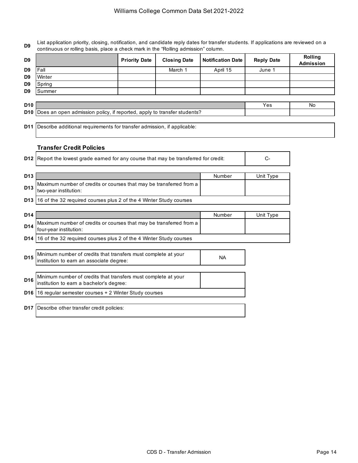**D9** List application priority, closing, notification, and candidate reply dates for transfer students. If applications are reviewed on a continuous or rolling basis, place a check mark in the "Rolling admission" column.

|      | <b>Priority Date</b>       | <b>Closing Date</b> |          | <b>Reply Date</b> | <b>Rolling</b><br><b>Admission</b> |
|------|----------------------------|---------------------|----------|-------------------|------------------------------------|
| Fall |                            | March 1             | April 15 | June 1            |                                    |
|      |                            |                     |          |                   |                                    |
|      |                            |                     |          |                   |                                    |
|      |                            |                     |          |                   |                                    |
|      | Winter<br>Spring<br>Summer |                     |          | Notification Date |                                    |

| D <sub>10</sub> |                                                                             | Nc |
|-----------------|-----------------------------------------------------------------------------|----|
|                 | D10 Does an open admission policy, if reported, apply to transfer students? |    |

**D11** Describe additional requirements for transfer admission, if applicable:

# **Transfer Credit Policies**

|                 | <b>D12</b> Report the lowest grade earned for any course that may be transferred for credit:<br>C- |        |           |
|-----------------|----------------------------------------------------------------------------------------------------|--------|-----------|
| D <sub>13</sub> |                                                                                                    | Number | Unit Type |
| D13             | Maximum number of credits or courses that may be transferred from a                                |        |           |

| D13   the wood institution:<br>two-year institution:                          |  |
|-------------------------------------------------------------------------------|--|
| <b>D13</b> 16 of the 32 required courses plus 2 of the 4 Winter Study courses |  |

| D14 |                                                                                               | Number | Unit Type |
|-----|-----------------------------------------------------------------------------------------------|--------|-----------|
| D14 | Maximum number of credits or courses that may be transferred from a<br>four-year institution: |        |           |
|     | D14 16 of the 32 required courses plus 2 of the 4 Winter Study courses                        |        |           |

| D <sub>15</sub> | Minimum number of credits that transfers must complete at your<br>institution to earn an associate degree: | ΝA |
|-----------------|------------------------------------------------------------------------------------------------------------|----|
|                 |                                                                                                            |    |
| D <sub>16</sub> | Minimum number of credits that transfers must complete at your<br>institution to earn a bachelor's degree: |    |
| D <sub>16</sub> | 16 regular semester courses + 2 Winter Study courses                                                       |    |
|                 |                                                                                                            |    |
| D17             | Describe other transfer credit policies:                                                                   |    |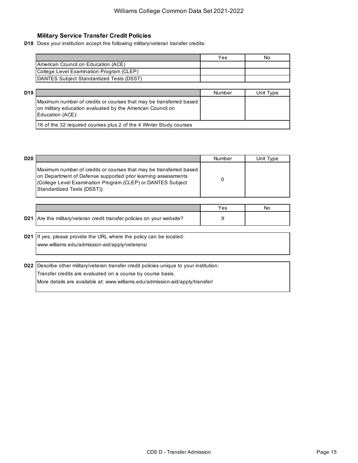# **Military Service Transfer Credit Policies**

**D18** Does your institution accept the following military/veteran transfer credits:

| Yes | Nο |
|-----|----|
|     |    |
|     |    |
|     |    |
|     |    |

| D19 |                                                                                                                                                      | Number | Unit Type |
|-----|------------------------------------------------------------------------------------------------------------------------------------------------------|--------|-----------|
|     | Maximum number of credits or courses that may be transferred based<br>on military education evaluated by the American Council on<br>Education (ACE): |        |           |
|     | 16 of the 32 required courses plus 2 of the 4 Winter Study courses                                                                                   |        |           |

| D <sub>20</sub> |                                                                                                                                                                                                                                   | Number | Unit Type |
|-----------------|-----------------------------------------------------------------------------------------------------------------------------------------------------------------------------------------------------------------------------------|--------|-----------|
|                 | Maximum number of credits or courses that may be transferred based<br>on Department of Defense supported prior learning assessments<br>(College Level Examination Program (CLEP) or DANTES Subject<br>Standardized Tests (DSST)): |        |           |

|                                                                        | res | NC |
|------------------------------------------------------------------------|-----|----|
| D21 Are the military/veteran credit transfer policies on your website? |     |    |

**D21** If yes, please provide the URL where the policy can be located: www.williams.edu/admission-aid/apply/veterans/

**D22** Describe other military/veteran transfer credit policies unique to your institution: Transfer credits are evaluated on a course by course basis. More details are available at: www.williams.edu/admission-aid/apply/transfer/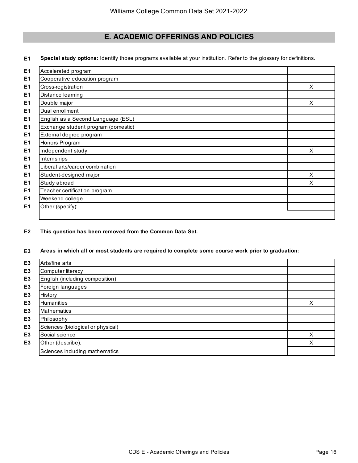# **E. ACADEMIC OFFERINGS AND POLICIES**

**E1 Special study options:** Identify those programs available at your institution. Refer to the glossary for definitions.

| Accelerated program                 |   |
|-------------------------------------|---|
| Cooperative education program       |   |
| Cross-registration                  | X |
| Distance learning                   |   |
| Double major                        | X |
| Dual enrollment                     |   |
| English as a Second Language (ESL)  |   |
| Exchange student program (domestic) |   |
| External degree program             |   |
| Honors Program                      |   |
| Independent study                   | X |
| Internships                         |   |
| Liberal arts/career combination     |   |
| Student-designed major              | X |
| Study abroad                        | X |
| Teacher certification program       |   |
| Weekend college                     |   |
| Other (specify):                    |   |

# **E2 This question has been removed from the Common Data Set.**

#### **E3 Areas in which all or most students are required to complete some course work prior to graduation:**

| E <sub>3</sub> | Arts/fine arts                    |   |
|----------------|-----------------------------------|---|
| E <sub>3</sub> | Computer literacy                 |   |
| E <sub>3</sub> | English (including composition)   |   |
| E <sub>3</sub> | Foreign languages                 |   |
| E <sub>3</sub> | History                           |   |
| E <sub>3</sub> | <b>Humanities</b>                 | X |
| E <sub>3</sub> | <b>Mathematics</b>                |   |
| E <sub>3</sub> | Philosophy                        |   |
| E <sub>3</sub> | Sciences (biological or physical) |   |
| E <sub>3</sub> | Social science                    | х |
| E <sub>3</sub> | Other (describe):                 | Χ |
|                | Sciences including mathematics    |   |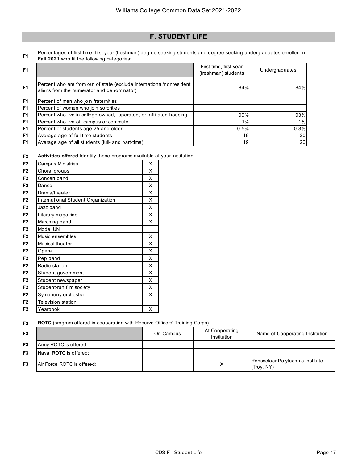# **F. STUDENT LIFE**

**F1** Percentages of first-time, first-year (freshman) degree-seeking students and degree-seeking undergraduates enrolled in **Fall 2021** who fit the following categories:

| F <sub>1</sub> |                                                                                                                    | First-time, first-year<br>(freshman) students | Undergraduates |
|----------------|--------------------------------------------------------------------------------------------------------------------|-----------------------------------------------|----------------|
| F <sub>1</sub> | Percent who are from out of state (exclude international/nonresident<br>aliens from the numerator and denominator) | 84%                                           | 84%            |
| F <sub>1</sub> | Percent of men who join fraternities                                                                               |                                               |                |
| F <sub>1</sub> | Percent of women who join sororities                                                                               |                                               |                |
| F <sub>1</sub> | Percent who live in college-owned, -operated, or -affiliated housing                                               | 99%                                           | 93%            |
| F <sub>1</sub> | Percent who live off campus or commute                                                                             | 1%                                            | 1%             |
| F <sub>1</sub> | Percent of students age 25 and older                                                                               | 0.5%                                          | 0.8%           |
| F <sub>1</sub> | Average age of full-time students                                                                                  | 19                                            | 20             |
| F <sub>1</sub> | Average age of all students (full- and part-time)                                                                  | 19                                            | 20             |

**F2 Activities offered** Identify those programs available at your institution.

| F <sub>2</sub> | <b>Campus Ministries</b>           | X |
|----------------|------------------------------------|---|
| F <sub>2</sub> | Choral groups                      | X |
| F <sub>2</sub> | Concert band                       | X |
| F <sub>2</sub> | Dance                              | X |
| F <sub>2</sub> | Drama/theater                      | X |
| F <sub>2</sub> | International Student Organization | X |
| F <sub>2</sub> | Jazz band                          | X |
| F <sub>2</sub> | Literary magazine                  | X |
| F <sub>2</sub> | Marching band                      | X |
| F <sub>2</sub> | Model UN                           |   |
| F <sub>2</sub> | Music ensembles                    | X |
| F <sub>2</sub> | Musical theater                    | X |
| F <sub>2</sub> | Opera                              | X |
| F <sub>2</sub> | Pep band                           | X |
| F <sub>2</sub> | Radio station                      | X |
| F <sub>2</sub> | Student government                 | X |
| F <sub>2</sub> | Student newspaper                  | X |
| F <sub>2</sub> | Student-run film society           | X |
| F <sub>2</sub> | Symphony orchestra                 | X |
| F <sub>2</sub> | <b>Television station</b>          |   |
| F <sub>2</sub> | Yearbook                           | X |

**F3 ROTC** (program offered in cooperation with Reserve Officers' Training Corps)

| F <sub>3</sub> |                            | On Campus | At Cooperating<br>Institution | Name of Cooperating Institution                |
|----------------|----------------------------|-----------|-------------------------------|------------------------------------------------|
| F <sub>3</sub> | Army ROTC is offered:      |           |                               |                                                |
| F <sub>3</sub> | Naval ROTC is offered:     |           |                               |                                                |
| F <sub>3</sub> | Air Force ROTC is offered: |           |                               | Rensselaer Polytechnic Institute<br>(Troy, NY) |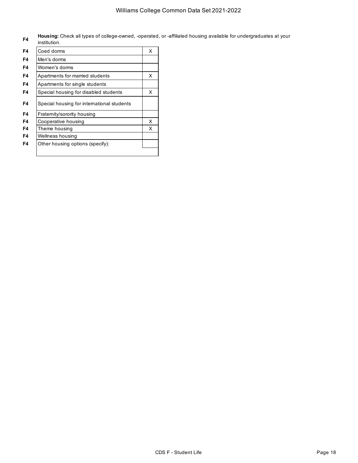**F4 Housing:** Check all types of college-owned, -operated, or -affiliated housing available for undergraduates at your institution.

| F4 | Coed dorms                                 | X |
|----|--------------------------------------------|---|
| F4 | Men's dorms                                |   |
| F4 | Women's dorms                              |   |
| F4 | Apartments for married students            | X |
| F4 | Apartments for single students             |   |
| F4 | Special housing for disabled students      | X |
| F4 | Special housing for international students |   |
| F4 | Fraternity/sorority housing                |   |
| F4 | Cooperative housing                        | X |
| F4 | Theme housing                              | x |
| F4 | Wellness housing                           |   |
| F4 | Other housing options (specify):           |   |
|    |                                            |   |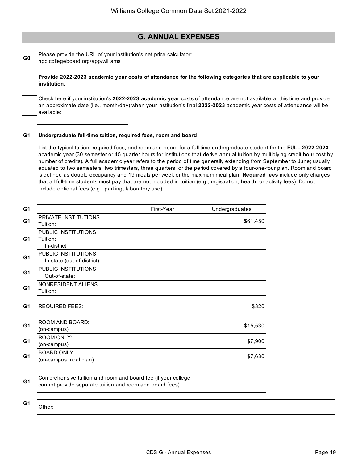# **G. ANNUAL EXPENSES**

**G0** Please provide the URL of your institution's net price calculator: npc.collegeboard.org/app/williams

# **Provide 2022-2023 academic year costs of attendance for the following categories that are applicable to your institution.**

Check here if your institution's **2022-2023 academic year** costs of attendance are not available at this time and provide an approximate date (i.e., month/day) when your institution's final **2022-2023** academic year costs of attendance will be available:

#### **G1 Undergraduate full-time tuition, required fees, room and board**

List the typical tuition, required fees, and room and board for a full-time undergraduate student for the **FULL 2022-2023**  academic year (30 semester or 45 quarter hours for institutions that derive annual tuition by multiplying credit hour cost by number of credits). A full academic year refers to the period of time generally extending from September to June; usually equated to two semesters, two trimesters, three quarters, or the period covered by a four-one-four plan. Room and board is defined as double occupancy and 19 meals per week or the maximum meal plan. **Required fees** include only charges that all full-time students must pay that are not included in tuition (e.g., registration, health, or activity fees). Do not include optional fees (e.g., parking, laboratory use).

| G <sub>1</sub> |                                                                                                                            | First-Year | Undergraduates |
|----------------|----------------------------------------------------------------------------------------------------------------------------|------------|----------------|
| G <sub>1</sub> | <b>PRIVATE INSTITUTIONS</b><br>Tuition:                                                                                    |            | \$61,450       |
| G <sub>1</sub> | PUBLIC INSTITUTIONS<br>Tuition:<br>In-district                                                                             |            |                |
| G <sub>1</sub> | PUBLIC INSTITUTIONS<br>In-state (out-of-district):                                                                         |            |                |
| G <sub>1</sub> | PUBLIC INSTITUTIONS<br>Out-of-state:                                                                                       |            |                |
| G <sub>1</sub> | NONRESIDENT ALIENS<br>Tuition:                                                                                             |            |                |
| G <sub>1</sub> | <b>REQUIRED FEES:</b>                                                                                                      |            | \$320          |
| G <sub>1</sub> | ROOM AND BOARD:<br>(on-campus)                                                                                             |            | \$15,530       |
| G <sub>1</sub> | ROOM ONLY:<br>(on-campus)                                                                                                  |            | \$7,900        |
| G <sub>1</sub> | <b>BOARD ONLY:</b><br>(on-campus meal plan)                                                                                |            | \$7,630        |
| G <sub>1</sub> | Comprehensive tuition and room and board fee (if your college<br>cannot provide separate tuition and room and board fees): |            |                |
| G <sub>1</sub> | Other:                                                                                                                     |            |                |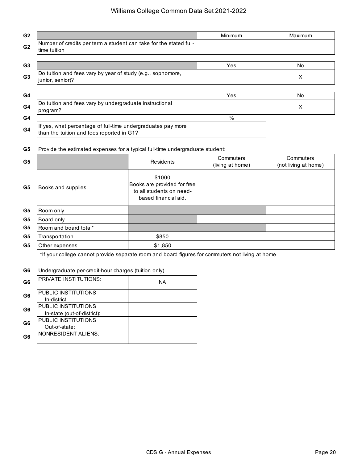# Williams College Common Data Set 2021-2022

| G <sub>2</sub> |                                                                                                           | Minimum | Maximum   |
|----------------|-----------------------------------------------------------------------------------------------------------|---------|-----------|
| G <sub>2</sub> | Number of credits per term a student can take for the stated full-<br>time tuition                        |         |           |
| G <sub>3</sub> |                                                                                                           | Yes     | <b>No</b> |
| G <sub>3</sub> | Do tuition and fees vary by year of study (e.g., sophomore,<br>junior, senior)?                           |         | X         |
|                |                                                                                                           |         |           |
| G4             |                                                                                                           | Yes     | <b>No</b> |
| G <sub>4</sub> | Do tuition and fees vary by undergraduate instructional<br>program?                                       |         | X         |
| G4             |                                                                                                           | $\%$    |           |
| G <sub>4</sub> | If yes, what percentage of full-time undergraduates pay more<br>than the tuition and fees reported in G1? |         |           |

#### **G5** Provide the estimated expenses for a typical full-time undergraduate student:

| G <sub>5</sub> |                       | Residents                                                                                 | Commuters<br>(living at home) | Commuters<br>(not living at home) |
|----------------|-----------------------|-------------------------------------------------------------------------------------------|-------------------------------|-----------------------------------|
| G <sub>5</sub> | Books and supplies    | \$1000<br>Books are provided for free<br>to all students on need-<br>based financial aid. |                               |                                   |
| G <sub>5</sub> | Room only             |                                                                                           |                               |                                   |
| G <sub>5</sub> | Board only            |                                                                                           |                               |                                   |
| G5             | Room and board total* |                                                                                           |                               |                                   |
| G5             | Transportation        | \$850                                                                                     |                               |                                   |
| G5             | Other expenses        | \$1,850                                                                                   |                               |                                   |

\*If your college cannot provide separate room and board figures for commuters not living at home

#### **G6** Undergraduate per-credit-hour charges (tuition only)

| G <sub>6</sub> | <b>PRIVATE INSTITUTIONS:</b>        | NА |
|----------------|-------------------------------------|----|
| G <sub>6</sub> | PUBLIC INSTITUTIONS<br>In-district: |    |
| G <sub>6</sub> | PUBLIC INSTITUTIONS                 |    |
|                | In-state (out-of-district):         |    |
| G <sub>6</sub> | PUBLIC INSTITUTIONS                 |    |
|                | Out-of-state:                       |    |
| G6             | <b>NONRESIDENT ALIENS:</b>          |    |
|                |                                     |    |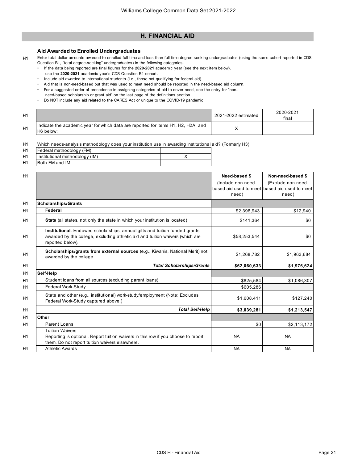# **H. FINANCIAL AID**

# **Aid Awarded to Enrolled Undergraduates**

**H1** Enter total dollar amounts awarded to enrolled full-time and less than full-time degree-seeking undergraduates (using the same cohort reported in CDS Question B1, "total degree-seeking" undergraduates) in the following categories.

- If the data being reported are final figures for the **2020-2021** academic year (see the next item below),
	- use the **2020-2021** academic year's CDS Question B1 cohort.
- Include aid awarded to international students (i.e., those not qualifying for federal aid).
- Aid that is non-need-based but that was used to meet need should be reported in the need-based aid column.
- For a suggested order of precedence in assigning categories of aid to cover need, see the entry for "non-
- need-based scholarship or grant aid" on the last page of the definitions section.
- Do NOT include any aid related to the CARES Act or unique to the COVID-19 pandemic.

| H1 |                                                                                                | 2021-2022 estimated | 2020-2021<br>final |
|----|------------------------------------------------------------------------------------------------|---------------------|--------------------|
| Η1 | Indicate the academic year for which data are reported for items H1, H2, H2A, and<br>H6 below: |                     |                    |

**H1** Which needs-analysis methodology does your institution use in awarding institutional aid? (Formerly H3)

| H <sub>1</sub> | Federal methodology (FM)       |  |
|----------------|--------------------------------|--|
| H <sub>1</sub> | Institutional methodology (IM) |  |
| H <sub>1</sub> | Both FM and IM                 |  |

| H1             |                                                                                                                                                                                   | Need-based \$<br>(Include non-need-<br>need) | Non-need-based \$<br>(Exclude non-need-<br>based aid used to meet based aid used to meet<br>need) |
|----------------|-----------------------------------------------------------------------------------------------------------------------------------------------------------------------------------|----------------------------------------------|---------------------------------------------------------------------------------------------------|
| H1             | <b>Scholarships/Grants</b>                                                                                                                                                        |                                              |                                                                                                   |
| H <sub>1</sub> | Federal                                                                                                                                                                           | \$2,396,943                                  | \$12,940                                                                                          |
|                | <b>State</b> (all states, not only the state in which your institution is located)                                                                                                | \$141,364                                    | \$0                                                                                               |
| H1             | Institutional: Endowed scholarships, annual gifts and tuition funded grants,<br>awarded by the college, excluding athletic aid and tuition waivers (which are<br>reported below). | \$58,253,544                                 | \$0                                                                                               |
|                | Scholarships/grants from external sources (e.g., Kiwanis, National Merit) not<br>awarded by the college                                                                           | \$1,268,782                                  | \$1,963,684                                                                                       |
|                | <b>Total Scholarships/Grants</b>                                                                                                                                                  | \$62,060,633                                 | \$1,976,624                                                                                       |
|                | Self-Help                                                                                                                                                                         |                                              |                                                                                                   |
|                | Student loans from all sources (excluding parent loans)                                                                                                                           | \$825,584                                    | \$1,086,307                                                                                       |
|                | Federal Work-Study                                                                                                                                                                | \$605,286                                    |                                                                                                   |
|                | State and other (e.g., institutional) work-study/employment (Note: Excludes<br>Federal Work-Study captured above.)                                                                | \$1,608,411                                  | \$127,240                                                                                         |
|                | <b>Total Self-Help</b>                                                                                                                                                            | \$3,039,281                                  | \$1,213,547                                                                                       |
|                | Other                                                                                                                                                                             |                                              |                                                                                                   |
|                | Parent Loans                                                                                                                                                                      | \$0                                          | \$2,113,172                                                                                       |
|                | <b>Tuition Waivers</b><br>Reporting is optional. Report tuition waivers in this row if you choose to report<br>them. Do not report tuition waivers elsewhere.                     | <b>NA</b>                                    | <b>NA</b>                                                                                         |
|                | <b>Athletic Awards</b>                                                                                                                                                            | <b>NA</b>                                    | <b>NA</b>                                                                                         |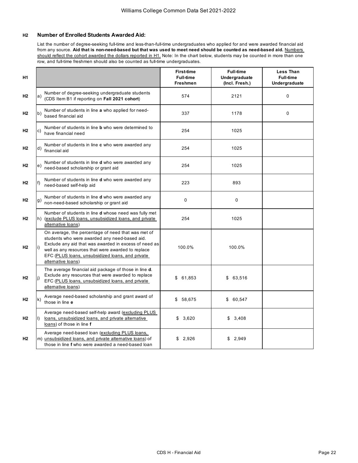# **H2 Number of Enrolled Students Awarded Aid:**

List the number of degree-seeking full-time and less-than-full-time undergraduates who applied for and were awarded financial aid from any source. Aid that is non-need-based but that was used to meet need should be counted as need-based aid. Numbers should reflect the cohort awarded the dollars reported in H1. Note: In the chart below, students may be counted in more than one row, and full-time freshmen should also be counted as full-time undergraduates.

| H <sub>1</sub> |                                                                                                                                                                                                                                                                                                    | <b>First-time</b><br><b>Full-time</b><br><b>Freshmen</b> | <b>Full-time</b><br><b>Undergraduate</b><br>(Incl. Fresh.) | <b>Less Than</b><br><b>Full-time</b><br>Undergraduate |
|----------------|----------------------------------------------------------------------------------------------------------------------------------------------------------------------------------------------------------------------------------------------------------------------------------------------------|----------------------------------------------------------|------------------------------------------------------------|-------------------------------------------------------|
| H <sub>2</sub> | Number of degree-seeking undergraduate students<br>$\mathsf{a}$<br>(CDS Item B1 if reporting on Fall 2021 cohort)                                                                                                                                                                                  | 574                                                      | 2121                                                       | 0                                                     |
| H <sub>2</sub> | Number of students in line a who applied for need-<br>b)<br>based financial aid                                                                                                                                                                                                                    | 337                                                      | 1178                                                       | 0                                                     |
| H <sub>2</sub> | Number of students in line <b>b</b> who were determined to<br>c)<br>have financial need                                                                                                                                                                                                            | 254                                                      | 1025                                                       |                                                       |
| H <sub>2</sub> | Number of students in line c who were awarded any<br>d)<br>financial aid                                                                                                                                                                                                                           | 254                                                      | 1025                                                       |                                                       |
| H <sub>2</sub> | Number of students in line d who were awarded any<br>e)<br>need-based scholarship or grant aid                                                                                                                                                                                                     | 254                                                      | 1025                                                       |                                                       |
| H <sub>2</sub> | Number of students in line d who were awarded any<br>f)<br>need-based self-help aid                                                                                                                                                                                                                | 223                                                      | 893                                                        |                                                       |
| H <sub>2</sub> | Number of students in line d who were awarded any<br>g)<br>non-need-based scholarship or grant aid                                                                                                                                                                                                 | $\Omega$                                                 | 0                                                          |                                                       |
| H <sub>2</sub> | Number of students in line d whose need was fully met<br>h) (exclude PLUS loans, unsubsidized loans, and private<br>altemative loans)                                                                                                                                                              | 254                                                      | 1025                                                       |                                                       |
| H <sub>2</sub> | On average, the percentage of need that was met of<br>students who were awarded any need-based aid.<br>Exclude any aid that was awarded in excess of need as<br>i)<br>well as any resources that were awarded to replace<br>EFC (PLUS loans, unsubsidized loans, and private<br>alternative loans) | 100.0%                                                   | 100.0%                                                     |                                                       |
| H <sub>2</sub> | The average financial aid package of those in line d.<br>Exclude any resources that were awarded to replace<br>j)<br>EFC (PLUS loans, unsubsidized loans, and private<br>alternative loans)                                                                                                        | \$<br>61,853                                             | \$63,516                                                   |                                                       |
| H <sub>2</sub> | Average need-based scholarship and grant award of<br>$\mathsf{k}$<br>those in line e                                                                                                                                                                                                               | \$58,675                                                 | \$60,547                                                   |                                                       |
| H <sub>2</sub> | Average need-based self-help award (excluding PLUS<br>loans, unsubsidized loans, and private alternative<br>D.<br>loans) of those in line f                                                                                                                                                        | \$3,620                                                  | \$3,408                                                    |                                                       |
| H <sub>2</sub> | Average need-based loan (excluding PLUS loans,<br>m) unsubsidized loans, and private alternative loans) of<br>those in line f who were awarded a need-based loan                                                                                                                                   | \$2,926                                                  | \$2,949                                                    |                                                       |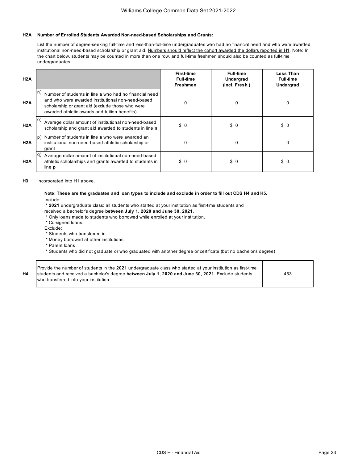### **H2A Number of Enrolled Students Awarded Non-need-based Scholarships and Grants:**

List the number of degree-seeking full-time and less-than-full-time undergraduates who had no financial need and who were awarded institutional non-need-based scholarship or grant aid. Numbers should reflect the cohort awarded the dollars reported in H1. Note: In the chart below, students may be counted in more than one row, and full-time freshmen should also be counted as full-time undergraduates.

| H2A              |                                                                                                                                                                                                                       | <b>First-time</b><br><b>Full-time</b><br><b>Freshmen</b> | <b>Full-time</b><br>Undergrad<br>(Incl. Fresh.) | <b>Less Than</b><br><b>Full-time</b><br><b>Undergrad</b> |
|------------------|-----------------------------------------------------------------------------------------------------------------------------------------------------------------------------------------------------------------------|----------------------------------------------------------|-------------------------------------------------|----------------------------------------------------------|
| H2A              | n<br>Number of students in line a who had no financial need<br>and who were awarded institutional non-need-based<br>scholarship or grant aid (exclude those who were<br>awarded athletic awards and tuition benefits) | 0                                                        | 0                                               | 0                                                        |
| H2A              | <b>O</b><br>Average dollar amount of institutional non-need-based<br>scholarship and grant aid awarded to students in line n                                                                                          | \$0                                                      | \$0                                             | \$0                                                      |
| H2A              | Number of students in line a who were awarded an<br>l D I<br>institutional non-need-based athletic scholarship or<br>grant                                                                                            | 0                                                        | 0                                               | 0                                                        |
| H <sub>2</sub> A | lq)<br>Average dollar amount of institutional non-need-based<br>athletic scholarships and grants awarded to students in<br>line p                                                                                     | \$0                                                      | \$0                                             | \$0                                                      |

**H3** Incorporated into H1 above.

#### **Note: These are the graduates and loan types to include and exclude in order to fill out CDS H4 and H5.**  Include:

\* **2021** undergraduate class: all students who started at your institution as first-time students and

received a bachelor's degree **between July 1, 2020 and June 30, 2021**.

- \* Only loans made to students who borrowed while enrolled at your institution.
- \* Co-signed loans.

Exclude:

- \* Students who transferred in.
- \* Money borrowed at other institutions.
- \* Parent loans

\* Students who did not graduate or who graduated with another degree or certificate (but no bachelor's degree)

| Η4<br>students and received a bachelor's degree between July 1, 2020 and June 30, 2021. Exclude students<br>453<br>who transferred into your institution. | Provide the number of students in the 2021 undergraduate class who started at your institution as first-time |  |  |
|-----------------------------------------------------------------------------------------------------------------------------------------------------------|--------------------------------------------------------------------------------------------------------------|--|--|
|-----------------------------------------------------------------------------------------------------------------------------------------------------------|--------------------------------------------------------------------------------------------------------------|--|--|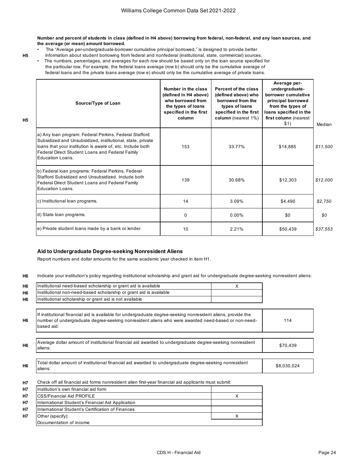**Number and percent of students in class (defined in H4 above) borrowing from federal, non-federal, and any loan sources, and the average (or mean) amount borrowed.** 

- The "Average per-undergraduate-borrower cumulative principal borrowed," is designed to provide better
- **H5**

**H5**

 information about student borrowing from federal and nonfederal (institutional, state, commercial) sources. • The numbers, percentages, and averages for each row should be based only on the loan source specified for the particular row. For example, the federal loans average (row b) should only be the cumulative average of federal loans and the private loans average (row e) should only be the cumulative average of private loans.

| Source/Type of Loan                                                                                                                                                                                                                                       | Number in the class<br>(defined in H4 above)<br>who borrowed from<br>the types of loans<br>specified in the first<br>column | Percent of the class<br>(defined above) who<br>borrowed from the<br>types of loans<br>specified in the first<br>column (nearest 1%) | Average per-<br>undergraduate-<br>borrower cumulative<br>principal borrowed<br>from the types of<br>loans specified in the<br>first column (nearest<br>\$1) | Median   |
|-----------------------------------------------------------------------------------------------------------------------------------------------------------------------------------------------------------------------------------------------------------|-----------------------------------------------------------------------------------------------------------------------------|-------------------------------------------------------------------------------------------------------------------------------------|-------------------------------------------------------------------------------------------------------------------------------------------------------------|----------|
| a) Any loan program: Federal Perkins, Federal Stafford<br>Subsidized and Unsubsidized, institutional, state, private<br>loans that your institution is aware of, etc. Include both<br>Federal Direct Student Loans and Federal Family<br>Education Loans. | 153                                                                                                                         | 33.77%                                                                                                                              | \$14.885                                                                                                                                                    | \$11,500 |
| b) Federal loan programs: Federal Perkins, Federal<br>Stafford Subsidized and Unsubsidized. Include both<br>Federal Direct Student Loans and Federal Family<br>Education Loans.                                                                           | 139                                                                                                                         | 30.68%                                                                                                                              | \$12,303                                                                                                                                                    | \$12,000 |
| c) Institutional loan programs.                                                                                                                                                                                                                           | 14                                                                                                                          | 3.09%                                                                                                                               | \$4.490                                                                                                                                                     | \$2,750  |
| d) State loan programs.                                                                                                                                                                                                                                   | 0                                                                                                                           | $0.00\%$                                                                                                                            | \$0                                                                                                                                                         | \$0      |
| e) Private student loans made by a bank or lender.                                                                                                                                                                                                        | 10                                                                                                                          | 2.21%                                                                                                                               | \$50,439                                                                                                                                                    | \$37,553 |

### **Aid to Undergraduate Degree-seeking Nonresident Aliens**

Report numbers and dollar amounts for the same academic year checked in item H1.

**H6** Indicate your institution's policy regarding institutional scholarship and grant aid for undergraduate degree-seeking nonresident aliens:

| H <sub>6</sub> | Institutional need-based scholarship or grant aid is available                                                                                                                                                                   | X |             |
|----------------|----------------------------------------------------------------------------------------------------------------------------------------------------------------------------------------------------------------------------------|---|-------------|
| H6             | Institutional non-need-based scholarship or grant aid is available                                                                                                                                                               |   |             |
| H6             | Institutional scholarship or grant aid is not available                                                                                                                                                                          |   |             |
| H <sub>6</sub> | If institutional financial aid is available for undergraduate degree-seeking nonresident aliens, provide the<br>number of undergraduate degree-seeking nonresident aliens who were awarded need-based or non-need-<br>based aid: |   | 114         |
| H <sub>6</sub> | Average dollar amount of institutional financial aid awarded to undergraduate degree-seeking nonresident<br>aliens:                                                                                                              |   | \$70,439    |
|                |                                                                                                                                                                                                                                  |   |             |
| H <sub>6</sub> | Total dollar amount of institutional financial aid awarded to undergraduate degree-seeking nonresident<br>aliens:                                                                                                                |   | \$8,030,024 |
| <b>H7</b>      | Check off all financial aid forms nonresident alien first-year financial aid applicants must submit:                                                                                                                             |   |             |
| <b>H7</b>      | Institution's own financial aid form                                                                                                                                                                                             |   |             |
| <b>H7</b>      | <b>CSS/Financial Aid PROFILE</b>                                                                                                                                                                                                 | X |             |
| <b>H7</b>      | International Student's Financial Aid Application                                                                                                                                                                                |   |             |
| Н7             | International Student's Certification of Finances                                                                                                                                                                                |   |             |
| Н7             | Other (specify):                                                                                                                                                                                                                 | х |             |
|                | Documentation of income                                                                                                                                                                                                          |   |             |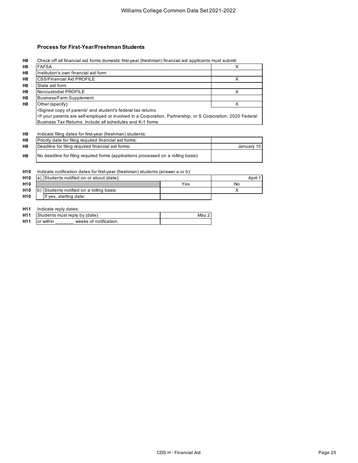# **Process for First-Year/Freshman Students**

**H8** Check off all financial aid forms domestic first-year (freshman) financial aid applicants must submit:

| H <sub>8</sub>  | <b>FAFSA</b>                                                                                                                                                                                                                          |       | X          |
|-----------------|---------------------------------------------------------------------------------------------------------------------------------------------------------------------------------------------------------------------------------------|-------|------------|
| H <sub>8</sub>  | Institution's own financial aid form                                                                                                                                                                                                  |       |            |
| H <sub>8</sub>  | <b>CSS/Financial Aid PROFILE</b>                                                                                                                                                                                                      |       | X          |
| H <sub>8</sub>  | State aid form                                                                                                                                                                                                                        |       |            |
| H <sub>8</sub>  | Noncustodial PROFILE                                                                                                                                                                                                                  |       | X          |
| H <sub>8</sub>  | <b>Business/Farm Supplement</b>                                                                                                                                                                                                       |       |            |
| H <sub>8</sub>  | Other (specify):                                                                                                                                                                                                                      |       | X          |
|                 | Signed copy of parents' and student's federal tax returns<br>If your parents are self-employed or involved in a Corporation, Partnership, or S Corporation: 2020 Federal<br>Business Tax Returns: Include all schedules and K-1 forms |       |            |
| H <sub>9</sub>  | Indicate filing dates for first-year (freshman) students:                                                                                                                                                                             |       |            |
| H <sub>9</sub>  | Priority date for filing required financial aid forms:                                                                                                                                                                                |       |            |
| H <sub>9</sub>  | Deadline for filing required financial aid forms:                                                                                                                                                                                     |       | January 10 |
| H <sub>9</sub>  | No deadline for filing required forms (applications processed on a rolling basis):                                                                                                                                                    |       |            |
| H <sub>10</sub> | Indicate notification dates for first-year (freshman) students (answer a or b):                                                                                                                                                       |       |            |
| H <sub>10</sub> | a) Students notified on or about (date):                                                                                                                                                                                              |       | April 1    |
| H <sub>10</sub> | Yes                                                                                                                                                                                                                                   |       | <b>No</b>  |
| H <sub>10</sub> | Students notified on a rolling basis:                                                                                                                                                                                                 |       | X          |
| H <sub>10</sub> | If yes, starting date:                                                                                                                                                                                                                |       |            |
| H <sub>11</sub> | Indicate reply dates:                                                                                                                                                                                                                 |       |            |
| H <sub>11</sub> | Students must reply by (date):                                                                                                                                                                                                        | May 2 |            |
| H <sub>11</sub> | weeks of notification.<br>or within                                                                                                                                                                                                   |       |            |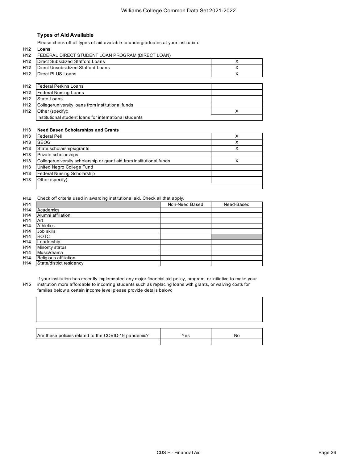# **Types of Aid Available**

Please check off all types of aid available to undergraduates at your institution:

|  |  | H12 FEDERAL DIRECT STUDENT LOAN PROGRAM (DIRECT LOAN) |
|--|--|-------------------------------------------------------|
|--|--|-------------------------------------------------------|

| H <sub>12</sub> | Direct Subsidized Stafford Loans                       | x |
|-----------------|--------------------------------------------------------|---|
| H12             | Direct Unsubsidized Stafford Loans                     | Χ |
| H <sub>12</sub> | Direct PLUS Loans                                      | X |
|                 |                                                        |   |
| H <sub>12</sub> | Federal Perkins Loans                                  |   |
| H12             | <b>Federal Nursing Loans</b>                           |   |
| H <sub>12</sub> | <b>State Loans</b>                                     |   |
| H12             | College/university loans from institutional funds      |   |
| H <sub>12</sub> | Other (specify):                                       |   |
|                 | Institutional student loans for international students |   |
|                 |                                                        |   |

#### **H13 Need Based Scholarships and Grants**

| H <sub>13</sub> | <b>Federal Pell</b>                                                  | v |
|-----------------|----------------------------------------------------------------------|---|
| H <sub>13</sub> | <b>SEOG</b>                                                          |   |
| H <sub>13</sub> | State scholarships/grants                                            |   |
| H <sub>13</sub> | Private scholarships                                                 |   |
| H <sub>13</sub> | College/university scholarship or grant aid from institutional funds |   |
| H <sub>13</sub> | United Negro College Fund                                            |   |
| H <sub>13</sub> | <b>Federal Nursing Scholarship</b>                                   |   |
| H <sub>13</sub> | Other (specify):                                                     |   |
|                 |                                                                      |   |

#### **H14** Check off criteria used in awarding institutional aid. Check all that apply.

| H <sub>14</sub> |                          | Non-Need Based | Need-Based |
|-----------------|--------------------------|----------------|------------|
| H <sub>14</sub> | Academics                |                |            |
| H <sub>14</sub> | Alumni affiliation       |                |            |
| H <sub>14</sub> | Art                      |                |            |
| H <sub>14</sub> | <b>Athletics</b>         |                |            |
| H <sub>14</sub> | Job skills               |                |            |
| H <sub>14</sub> | <b>ROTC</b>              |                |            |
| H <sub>14</sub> | Leadership               |                |            |
| H <sub>14</sub> | Minority status          |                |            |
| H <sub>14</sub> | Music/drama              |                |            |
| H <sub>14</sub> | Religious affiliation    |                |            |
| H <sub>14</sub> | State/district residency |                |            |

**H15** If your institution has recently implemented any major financial aid policy, program, or initiative to make your institution more affordable to incoming students such as replacing loans with grants, or waiving costs for families below a certain income level please provide details below:

| Are these policies related to the COVID-19 pandemic? | Yes | Nο |
|------------------------------------------------------|-----|----|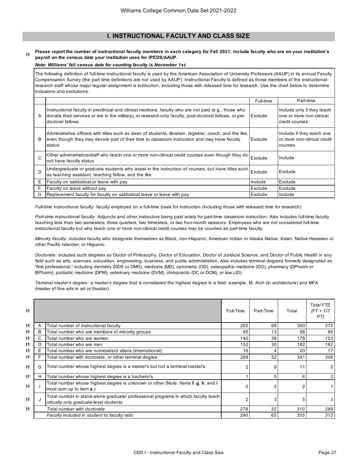# **I. INSTRUCTIONAL FACULTY AND CLASS SIZE**

#### **I1 Please report the number of instructional faculty members in each category for Fall 2021. Include faculty who are on your institution's payroll on the census date your institution uses for IPEDS/AAUP.**

# *Note: Williams' fall census date for counting faculty is November 1st.*

The following definition of full-time instructional faculty is used by the American Association of University Professors (AAUP) in its annual Faculty Compensation Survey (the part time definitions are not used by AAUP). Instructional Faculty is defined as those members of the instructionalresearch staff whose major regular assignment is instruction, including those with released time for research. Use the chart below to determine inclusions and exclusions:

|              |                                                                                                                                                                                                                                      | Full-time | Part-time                                                                |
|--------------|--------------------------------------------------------------------------------------------------------------------------------------------------------------------------------------------------------------------------------------|-----------|--------------------------------------------------------------------------|
| A            | Instructional faculty in preclinical and clinical medicine, faculty who are not paid (e.g., those who<br>donate their services or are in the military), or research-only faculty, post-doctoral fellows, or pre-<br>doctoral fellows | Exclude   | Include only if they teach<br>one or more non-clinical<br>credit courses |
| в            | Administrative officers with titles such as dean of students, librarian, registrar, coach, and the like,<br>even though they may devote part of their time to classroom instruction and may have faculty<br>status                   | Exclude   | Include if they teach one<br>or more non-clinical credit<br>courses      |
| $\mathsf{C}$ | Other administrators/staff who teach one or more non-clinical credit courses even though they do<br>not have faculty status                                                                                                          | Exclude   | Include                                                                  |
| D            | Undergraduate or graduate students who assist in the instruction of courses, but have titles such<br>as teaching assistant, teaching fellow, and the like                                                                            | Exclude   | Exclude                                                                  |
| Е            | Faculty on sabbatical or leave with pay                                                                                                                                                                                              | Include   | Exclude                                                                  |
| E            | Faculty on leave without pay                                                                                                                                                                                                         | Exclude   | Exclude                                                                  |
| G            | Replacement faculty for faculty on sabbatical leave or leave with pay                                                                                                                                                                | Exclude   | Include                                                                  |

*Full-time instructional faculty:* faculty employed on a full-time basis for instruction (including those with released time for research)

*Part-time instructional faculty:* Adjuncts and other instructors being paid solely for part-time classroom instruction. Also includes full-time faculty teaching less than two semesters, three quarters, two trimesters, or two four-month sessions. Employees who are not considered full-time instructional faculty but who teach one or more non-clinical credit courses may be counted as part-time faculty.

*Minority faculty:* includes faculty who designate themselves as Black, non-Hispanic; American Indian or Alaska Native; Asian, Native Hawaiian or other Pacific Islander, or Hispanic.

*Doctorate:* includes such degrees as Doctor of Philosophy, Doctor of Education, Doctor of Juridical Science, and Doctor of Public Health in any field such as arts, sciences, education, engineering, business, and public administration. Also includes terminal degrees formerly designated as "first professional," including dentistry (DDS or DMD), medicine (MD), optometry (OD), osteopathic medicine (DO), pharmacy (DPharm or BPharm), podiatric medicine (DPM), veterinary medicine (DVM), chiropractic (DC or DCM), or law (JD).

*Terminal master's degree:* a master's degree that is considered the highest degree in a field: example, M. Arch (in architecture) and MFA (master of fine arts in art or theater).

| $\mathsf{I}$ |   |                                                                                                                              | Full-Time | Part-Time | Total | <b>Total FTE</b><br>$(FT + 1/3)$<br>PT) |
|--------------|---|------------------------------------------------------------------------------------------------------------------------------|-----------|-----------|-------|-----------------------------------------|
| $\mathsf{I}$ | A | Total number of instructional faculty                                                                                        | 292       | 68        | 360   | 315                                     |
| 11           | в | Total number who are members of minority groups                                                                              | 85        | 13        | 98    | 89                                      |
| 11           | С | Total number who are women                                                                                                   | 140       | 38        | 178   | 153                                     |
| 11           | D | Total number who are men                                                                                                     | 152       | 30        | 182   | 162                                     |
| 11           | Е | Total number who are nonresident aliens (international)                                                                      | 16        | 4         | 20    | 17                                      |
| $\mathsf{I}$ |   | Total number with doctorate, or other terminal degree                                                                        | 289       | 52        | 341   | 306                                     |
| $\mathsf{I}$ | G | Total number whose highest degree is a master's but not a terminal master's                                                  |           | 9         | 11    | 5                                       |
| $\mathsf{I}$ | н | Total number whose highest degree is a bachelor's                                                                            |           | 5         | 6     | 3                                       |
| $\mathsf{I}$ |   | Total number whose highest degree is unknown or other (Note: Items f, g, h, and i<br>must sum up to item a.)                 |           | 2         |       |                                         |
| $\mathsf{I}$ |   | Total number in stand-alone graduate/ professional programs in which faculty teach<br>virtually only graduate-level students |           | 3         | 5     | 3                                       |
| 11           |   | Total number with doctorate                                                                                                  | 278       | 32        | 310   | 289                                     |
|              |   | Faculty included in student to faculty ratio                                                                                 | 290       | 65        | 355   | 312                                     |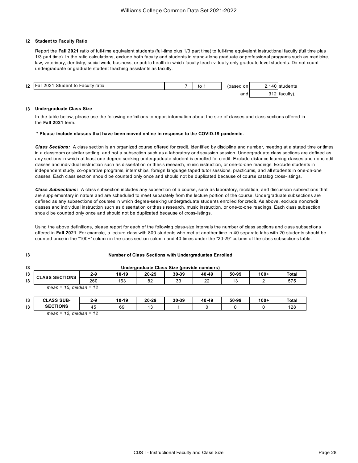#### **I2 Student to Faculty Ratio**

Report the **Fall 2021** ratio of full-time equivalent students (full-time plus 1/3 part time) to full-time equivalent instructional faculty (full time plus 1/3 part time). In the ratio calculations, exclude both faculty and students in stand-alone graduate or professional programs such as medicine, law, veterinary, dentistry, social work, business, or public health in which faculty teach virtually only graduate-level students. Do not count undergraduate or graduate student teaching assistants as faculty.



#### **I3 Undergraduate Class Size**

In the table below, please use the following definitions to report information about the size of classes and class sections offered in the **Fall 2021** term.

#### **\* Please include classes that have been moved online in response to the COVID-19 pandemic.**

*Class Sections:* A class section is an organized course offered for credit, identified by discipline and number, meeting at a stated time or times in a classroom or similar setting, and not a subsection such as a laboratory or discussion session. Undergraduate class sections are defined as any sections in which at least one degree-seeking undergraduate student is enrolled for credit. Exclude distance learning classes and noncredit classes and individual instruction such as dissertation or thesis research, music instruction, or one-to-one readings. Exclude students in independent study, co-operative programs, internships, foreign language taped tutor sessions, practicums, and all students in one-on-one classes. Each class section should be counted only once and should not be duplicated because of course catalog cross-listings.

*Class Subsections:* A class subsection includes any subsection of a course, such as laboratory, recitation, and discussion subsections that are supplementary in nature and are scheduled to meet separately from the lecture portion of the course. Undergraduate subsections are defined as any subsections of courses in which degree-seeking undergraduate students enrolled for credit. As above, exclude noncredit classes and individual instruction such as dissertation or thesis research, music instruction, or one-to-one readings. Each class subsection should be counted only once and should not be duplicated because of cross-listings.

Using the above definitions, please report for each of the following class-size intervals the number of class sections and class subsections offered in **Fall 2021**. For example, a lecture class with 800 students who met at another time in 40 separate labs with 20 students should be counted once in the "100+" column in the class section column and 40 times under the "20-29" column of the class subsections table.

| 13 | Undergraduate Class Size (provide numbers) |       |       |       |       |       |       |        |       |
|----|--------------------------------------------|-------|-------|-------|-------|-------|-------|--------|-------|
| 13 | <b>CLASS SECTIONS</b>                      | $2-9$ | 10-19 | 20-29 | 30-39 | 40-49 | 50-99 | $100+$ | Total |
| 13 |                                            | 260   | 163   | 82    | 33    | 22    | 13    |        | 575   |
|    | $mean = 15$ , median = 12                  |       |       |       |       |       |       |        |       |

**Number of Class Sections with Undergraduates Enrolled**

| 13 | SUB-<br>CLASS<br>$\sim$                        | 2-9       | 10-19 | 20-29 | 30-39 | 40-49 | 50-99 | $100 +$ | Total |
|----|------------------------------------------------|-----------|-------|-------|-------|-------|-------|---------|-------|
| 13 | <b>SECTIONS</b>                                | . .<br>45 | 69    | ں ،   |       |       |       |         | 128   |
|    | $\mathbf{r}$ and $\mathbf{r}$<br>$\sim$ $\sim$ |           |       |       |       |       |       |         |       |

*mean = 12, median = 12*

**I3**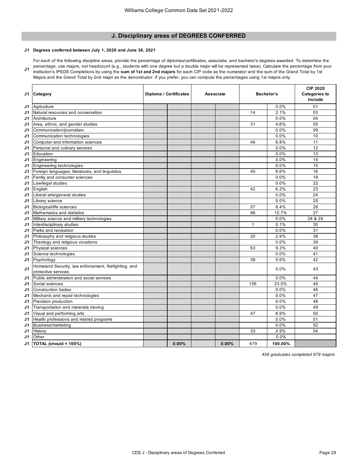# **J. Disciplinary areas of DEGREES CONFERRED**

# **J1 Degrees conferred between July 1, 2020 and June 30, 2021**

**J1** For each of the following discipline areas, provide the percentage of diplomas/certificates, associate, and bachelor's degrees awarded. To determine the percentage, use majors, not headcount (e.g., students with one degree but a double major will be represented twice). Calculate the percentage from your institution's IPEDS Completions by using the **sum of 1st and 2nd majors** for each CIP code as the numerator and the sum of the Grand Total by 1st Majors and the Grand Total by 2nd major as the denominator. If you prefer, you can compute the percentages using 1st majors only.

| J1 | Category                                                                     | Diploma / Certificates | <b>Associate</b> | <b>Bachelor's</b> |         | <b>CIP 2020</b><br><b>Categories to</b><br>Include |
|----|------------------------------------------------------------------------------|------------------------|------------------|-------------------|---------|----------------------------------------------------|
| J1 | Agriculture                                                                  |                        |                  |                   | 0.0%    | 01                                                 |
| J1 | Natural resources and conservation                                           |                        |                  | 14                | 2.1%    | 03                                                 |
| J1 | Architecture                                                                 |                        |                  |                   | 0.0%    | 04                                                 |
| J1 | Area, ethnic, and gender studies                                             |                        |                  | 31                | 4.6%    | 05                                                 |
| J1 | Communication/journalism                                                     |                        |                  |                   | 0.0%    | 09                                                 |
| J1 | Communication technologies                                                   |                        |                  |                   | 0.0%    | 10                                                 |
| J1 | Computer and information sciences                                            |                        |                  | 46                | 6.8%    | 11                                                 |
| J1 | Personal and culinary services                                               |                        |                  |                   | 0.0%    | 12                                                 |
| J1 | Education                                                                    |                        |                  |                   | 0.0%    | 13                                                 |
| J1 | Engineering                                                                  |                        |                  |                   | 0.0%    | 14                                                 |
| J1 | Engineering technologies                                                     |                        |                  |                   | 0.0%    | 15                                                 |
| J1 | Foreign languages, literatures, and linguistics                              |                        |                  | 45                | 6.6%    | 16                                                 |
| J1 | Family and consumer sciences                                                 |                        |                  |                   | 0.0%    | 19                                                 |
| J1 | Law/legal studies                                                            |                        |                  |                   | 0.0%    | 22                                                 |
| J1 | English                                                                      |                        |                  | 42                | 6.2%    | 23                                                 |
| J1 | Liberal arts/general studies                                                 |                        |                  |                   | $0.0\%$ | 24                                                 |
| J1 | Library science                                                              |                        |                  |                   | 0.0%    | 25                                                 |
| J1 | Biological/life sciences                                                     |                        |                  | 57                | 8.4%    | 26                                                 |
| J1 | Mathematics and statistics                                                   |                        |                  | 86                | 12.7%   | 27                                                 |
| J1 | Military science and military technologies                                   |                        |                  |                   | 0.0%    | 28 & 29                                            |
| J1 | Interdisciplinary studies                                                    |                        |                  | $\mathbf{1}$      | 0.1%    | 30                                                 |
| J1 | Parks and recreation                                                         |                        |                  |                   | 0.0%    | 31                                                 |
| J1 | Philosophy and religious studies                                             |                        |                  | 20                | 2.9%    | 38                                                 |
| J1 | Theology and religious vocations                                             |                        |                  |                   | 0.0%    | 39                                                 |
| J1 | Physical sciences                                                            |                        |                  | 63                | 9.3%    | 40                                                 |
| J1 | Science technologies                                                         |                        |                  |                   | 0.0%    | 41                                                 |
| J1 | Psychology                                                                   |                        |                  | 38                | 5.6%    | 42                                                 |
| J1 | Homeland Security, law enforcement, firefighting, and<br>protective services |                        |                  |                   | 0.0%    | 43                                                 |
| J1 | Public administration and social services                                    |                        |                  |                   | 0.0%    | 44                                                 |
| J1 | Social sciences                                                              |                        |                  | 156               | 23.0%   | 45                                                 |
| J1 | <b>Construction trades</b>                                                   |                        |                  |                   | 0.0%    | 46                                                 |
| J1 | Mechanic and repair technologies                                             |                        |                  |                   | 0.0%    | 47                                                 |
| J1 | Precision production                                                         |                        |                  |                   | 0.0%    | 48                                                 |
| J1 | Transportation and materials moving                                          |                        |                  |                   | 0.0%    | 49                                                 |
| J1 | Visual and performing arts                                                   |                        |                  | 47                | 6.9%    | 50                                                 |
| J1 | Health professions and related programs                                      |                        |                  |                   | 0.0%    | 51                                                 |
| J1 | Business/marketing                                                           |                        |                  |                   | 0.0%    | 52                                                 |
| J1 | History                                                                      |                        |                  | 33                | 4.9%    | 54                                                 |
| J1 | Other                                                                        |                        |                  |                   | 0.0%    |                                                    |
| J1 | <b>TOTAL (should = 100%)</b>                                                 | $0.00\%$               | $0.00\%$         | 679               | 100.00% |                                                    |

*456 graduates completed 679 majors*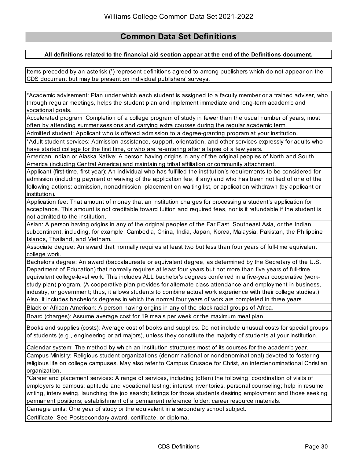# **Common Data Set Definitions**

# **All definitions related to the financial aid section appear at the end of the Definitions document.**

Items preceded by an asterisk (\*) represent definitions agreed to among publishers which do not appear on the CDS document but may be present on individual publishers' surveys.

\*Academic advisement: Plan under which each student is assigned to a faculty member or a trained adviser, who, through regular meetings, helps the student plan and implement immediate and long-term academic and vocational goals.

Accelerated program: Completion of a college program of study in fewer than the usual number of years, most often by attending summer sessions and carrying extra courses during the regular academic term.

Admitted student: Applicant who is offered admission to a degree-granting program at your institution.

\*Adult student services: Admission assistance, support, orientation, and other services expressly for adults who have started college for the first time, or who are re-entering after a lapse of a few years.

American Indian or Alaska Native: A person having origins in any of the original peoples of North and South America (including Central America) and maintaining tribal affiliation or community attachment.

Applicant (first-time, first year): An individual who has fulfilled the institution's requirements to be considered for admission (including payment or waiving of the application fee, if any) and who has been notified of one of the following actions: admission, nonadmission, placement on waiting list, or application withdrawn (by applicant or institution).

Application fee: That amount of money that an institution charges for processing a student's application for acceptance. This amount is not creditable toward tuition and required fees, nor is it refundable if the student is not admitted to the institution.

Asian: A person having origins in any of the original peoples of the Far East, Southeast Asia, or the Indian subcontinent, including, for example, Cambodia, China, India, Japan, Korea, Malaysia, Pakistan, the Philippine Islands, Thailand, and Vietnam.

Associate degree: An award that normally requires at least two but less than four years of full-time equivalent college work.

Bachelor's degree: An award (baccalaureate or equivalent degree, as determined by the Secretary of the U.S. Department of Education) that normally requires at least four years but not more than five years of full-time equivalent college-level work. This includes ALL bachelor's degrees conferred in a five-year cooperative (workstudy plan) program. (A cooperative plan provides for alternate class attendance and employment in business, industry, or government; thus, it allows students to combine actual work experience with their college studies.) Also, it includes bachelor's degrees in which the normal four years of work are completed in three years.

Black or African American: A person having origins in any of the black racial groups of Africa.

Board (charges): Assume average cost for 19 meals per week or the maximum meal plan.

Books and supplies (costs): Average cost of books and supplies. Do not include unusual costs for special groups of students (e.g., engineering or art majors), unless they constitute the majority of students at your institution.

Calendar system: The method by which an institution structures most of its courses for the academic year.

Campus Ministry: Religious student organizations (denominational or nondenominational) devoted to fostering religious life on college campuses. May also refer to Campus Crusade for Christ, an interdenominational Christian organization.

\*Career and placement services: A range of services, including (often) the following: coordination of visits of employers to campus; aptitude and vocational testing; interest inventories, personal counseling; help in resume writing, interviewing, launching the job search; listings for those students desiring employment and those seeking permanent positions; establishment of a permanent reference folder; career resource materials.

Carnegie units: One year of study or the equivalent in a secondary school subject.

Certificate: See Postsecondary award, certificate, or diploma.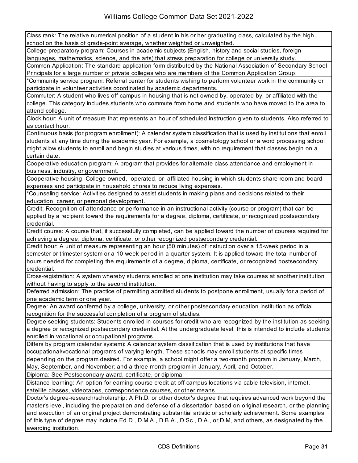Class rank: The relative numerical position of a student in his or her graduating class, calculated by the high school on the basis of grade-point average, whether weighted or unweighted.

College-preparatory program: Courses in academic subjects (English, history and social studies, foreign languages, mathematics, science, and the arts) that stress preparation for college or university study.

Common Application: The standard application form distributed by the National Association of Secondary School Principals for a large number of private colleges who are members of the Common Application Group.

\*Community service program: Referral center for students wishing to perform volunteer work in the community or participate in volunteer activities coordinated by academic departments.

Commuter: A student who lives off campus in housing that is not owned by, operated by, or affiliated with the college. This category includes students who commute from home and students who have moved to the area to attend college.

Clock hour: A unit of measure that represents an hour of scheduled instruction given to students. Also referred to as contact hour.

Continuous basis (for program enrollment): A calendar system classification that is used by institutions that enroll students at any time during the academic year. For example, a cosmetology school or a word processing school might allow students to enroll and begin studies at various times, with no requirement that classes begin on a certain date.

Cooperative education program: A program that provides for alternate class attendance and employment in business, industry, or government.

Cooperative housing: College-owned, -operated, or -affiliated housing in which students share room and board expenses and participate in household chores to reduce living expenses.

\*Counseling service: Activities designed to assist students in making plans and decisions related to their education, career, or personal development.

Credit: Recognition of attendance or performance in an instructional activity (course or program) that can be applied by a recipient toward the requirements for a degree, diploma, certificate, or recognized postsecondary credential.

Credit course: A course that, if successfully completed, can be applied toward the number of courses required for achieving a degree, diploma, certificate, or other recognized postsecondary credential.

Credit hour: A unit of measure representing an hour (50 minutes) of instruction over a 15-week period in a semester or trimester system or a 10-week period in a quarter system. It is applied toward the total number of hours needed for completing the requirements of a degree, diploma, certificate, or recognized postsecondary credential.

Cross-registration: A system whereby students enrolled at one institution may take courses at another institution without having to apply to the second institution.

Deferred admission: The practice of permitting admitted students to postpone enrollment, usually for a period of one academic term or one year.

Degree: An award conferred by a college, university, or other postsecondary education institution as official recognition for the successful completion of a program of studies.

Degree-seeking students: Students enrolled in courses for credit who are recognized by the institution as seeking a degree or recognized postsecondary credential. At the undergraduate level, this is intended to include students enrolled in vocational or occupational programs.

Differs by program (calendar system): A calendar system classification that is used by institutions that have occupational/vocational programs of varying length. These schools may enroll students at specific times depending on the program desired. For example, a school might offer a two-month program in January, March, May, September, and November; and a three-month program in January, April, and October.

Diploma: See Postsecondary award, certificate, or diploma.

Distance learning: An option for earning course credit at off-campus locations via cable television, internet, satellite classes, videotapes, correspondence courses, or other means.

Doctor's degree-research/scholarship: A Ph.D. or other doctor's degree that requires advanced work beyond the master's level, including the preparation and defense of a dissertation based on original research, or the planning and execution of an original project demonstrating substantial artistic or scholarly achievement. Some examples of this type of degree may include Ed.D., D.M.A., D.B.A., D.Sc., D.A., or D.M, and others, as designated by the awarding institution.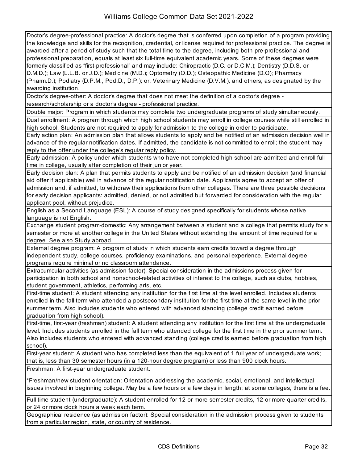Doctor's degree-professional practice: A doctor's degree that is conferred upon completion of a program providing the knowledge and skills for the recognition, credential, or license required for professional practice. The degree is awarded after a period of study such that the total time to the degree, including both pre-professional and professional preparation, equals at least six full-time equivalent academic years. Some of these degrees were formerly classified as "first-professional" and may include: Chiropractic (D.C. or D.C.M.); Dentistry (D.D.S. or D.M.D.); Law (L.L.B. or J.D.); Medicine (M.D.); Optometry (O.D.); Osteopathic Medicine (D.O); Pharmacy (Pharm.D.); Podiatry (D.P.M., Pod.D., D.P.); or, Veterinary Medicine (D.V.M.), and others, as designated by the awarding institution.

Doctor's degree-other: A doctor's degree that does not meet the definition of a doctor's degree research/scholarship or a doctor's degree - professional practice.

Double major: Program in which students may complete two undergraduate programs of study simultaneously.

Dual enrollment: A program through which high school students may enroll in college courses while still enrolled in high school. Students are not required to apply for admission to the college in order to participate.

Early action plan: An admission plan that allows students to apply and be notified of an admission decision well in advance of the regular notification dates. If admitted, the candidate is not committed to enroll; the student may reply to the offer under the college's regular reply policy.

Early admission: A policy under which students who have not completed high school are admitted and enroll full time in college, usually after completion of their junior year.

Early decision plan: A plan that permits students to apply and be notified of an admission decision (and financial aid offer if applicable) well in advance of the regular notification date. Applicants agree to accept an offer of admission and, if admitted, to withdraw their applications from other colleges. There are three possible decisions for early decision applicants: admitted, denied, or not admitted but forwarded for consideration with the regular applicant pool, without prejudice.

English as a Second Language (ESL): A course of study designed specifically for students whose native language is not English.

Exchange student program-domestic: Any arrangement between a student and a college that permits study for a semester or more at another college in the United States without extending the amount of time required for a degree. See also Study abroad.

External degree program: A program of study in which students earn credits toward a degree through independent study, college courses, proficiency examinations, and personal experience. External degree programs require minimal or no classroom attendance.

Extracurricular activities (as admission factor): Special consideration in the admissions process given for participation in both school and nonschool-related activities of interest to the college, such as clubs, hobbies, student government, athletics, performing arts, etc.

First-time student: A student attending any institution for the first time at the level enrolled. Includes students enrolled in the fall term who attended a postsecondary institution for the first time at the same level in the prior summer term. Also includes students who entered with advanced standing (college credit earned before graduation from high school).

First-time, first-year (freshman) student: A student attending any institution for the first time at the undergraduate level. Includes students enrolled in the fall term who attended college for the first time in the prior summer term. Also includes students who entered with advanced standing (college credits earned before graduation from high school).

First-year student: A student who has completed less than the equivalent of 1 full year of undergraduate work; that is, less than 30 semester hours (in a 120-hour degree program) or less than 900 clock hours. Freshman: A first-year undergraduate student.

\*Freshman/new student orientation: Orientation addressing the academic, social, emotional, and intellectual issues involved in beginning college. May be a few hours or a few days in length; at some colleges, there is a fee.

Full-time student (undergraduate): A student enrolled for 12 or more semester credits, 12 or more quarter credits, or 24 or more clock hours a week each term.

Geographical residence (as admission factor): Special consideration in the admission process given to students from a particular region, state, or country of residence.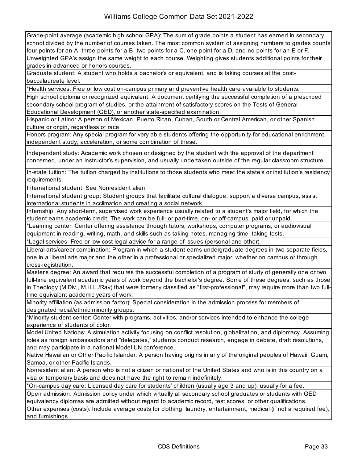Grade-point average (academic high school GPA): The sum of grade points a student has earned in secondary school divided by the number of courses taken. The most common system of assigning numbers to grades counts four points for an A, three points for a B, two points for a C, one point for a D, and no points for an E or F. Unweighted GPA's assign the same weight to each course. Weighting gives students additional points for their grades in advanced or honors courses.

Graduate student: A student who holds a bachelor's or equivalent, and is taking courses at the postbaccalaureate level.

\*Health services: Free or low cost on-campus primary and preventive health care available to students.

High school diploma or recognized equivalent: A document certifying the successful completion of a prescribed secondary school program of studies, or the attainment of satisfactory scores on the Tests of General Educational Development (GED), or another state-specified examination.

Hispanic or Latino: A person of Mexican, Puerto Rican, Cuban, South or Central American, or other Spanish culture or origin, regardless of race.

Honors program: Any special program for very able students offering the opportunity for educational enrichment, independent study, acceleration, or some combination of these.

Independent study: Academic work chosen or designed by the student with the approval of the department concerned, under an instructor's supervision, and usually undertaken outside of the regular classroom structure.

In-state tuition: The tuition charged by institutions to those students who meet the state's or institution's residency requirements.

International student: See Nonresident alien.

International student group: Student groups that facilitate cultural dialogue, support a diverse campus, assist international students in acclimation and creating a social network.

Internship: Any short-term, supervised work experience usually related to a student's major field, for which the student earns academic credit. The work can be full- or part-time, on- or off-campus, paid or unpaid.

\*Learning center: Center offering assistance through tutors, workshops, computer programs, or audiovisual equipment in reading, writing, math, and skills such as taking notes, managing time, taking tests.

\*Legal services: Free or low cost legal advice for a range of issues (personal and other).

Liberal arts/career combination: Program in which a student earns undergraduate degrees in two separate fields, one in a liberal arts major and the other in a professional or specialized major, whether on campus or through cross-registration.

Master's degree: An award that requires the successful completion of a program of study of generally one or two full-time equivalent academic years of work beyond the bachelor's degree. Some of these degrees, such as those in Theology (M.Div., M.H.L./Rav) that were formerly classified as "first-professional", may require more than two fulltime equivalent academic years of work.

Minority affiliation (as admission factor): Special consideration in the admission process for members of designated racial/ethnic minority groups.

\*Minority student center: Center with programs, activities, and/or services intended to enhance the college experience of students of color.

Model United Nations: A simulation activity focusing on conflict resolution, globalization, and diplomacy. Assuming roles as foreign ambassadors and "delegates," students conduct research, engage in debate, draft resolutions, and may participate in a national Model UN conference.

Native Hawaiian or Other Pacific Islander: A person having origins in any of the original peoples of Hawaii, Guam, Samoa, or other Pacific Islands.

Nonresident alien: A person who is not a citizen or national of the United States and who is in this country on a visa or temporary basis and does not have the right to remain indefinitely.

\*On-campus day care: Licensed day care for students' children (usually age 3 and up); usually for a fee.

Open admission: Admission policy under which virtually all secondary school graduates or students with GED equivalency diplomas are admitted without regard to academic record, test scores, or other qualifications.

Other expenses (costs): Include average costs for clothing, laundry, entertainment, medical (if not a required fee), and furnishings.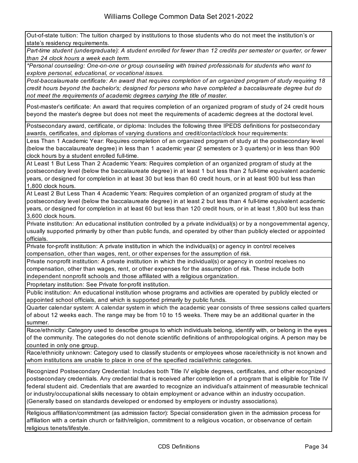Out-of-state tuition: The tuition charged by institutions to those students who do not meet the institution's or state's residency requirements.

*Part-time student (undergraduate): A student enrolled for fewer than 12 credits per semester or quarter, or fewer than 24 clock hours a week each term.*

*\*Personal counseling: One-on-one or group counseling with trained professionals for students who want to explore personal, educational, or vocational issues.*

*Post-baccalaureate certificate: An award that requires completion of an organized program of study requiring 18 credit hours beyond the bachelor's; designed for persons who have completed a baccalaureate degree but do not meet the requirements of academic degrees carrying the title of master.*

Post-master's certificate: An award that requires completion of an organized program of study of 24 credit hours beyond the master's degree but does not meet the requirements of academic degrees at the doctoral level.

Postsecondary award, certificate, or diploma: Includes the following three IPEDS definitions for postsecondary awards, certificates, and diplomas of varying durations and credit/contact/clock hour requirements:

Less Than 1 Academic Year: Requires completion of an organized program of study at the postsecondary level (below the baccalaureate degree) in less than 1 academic year (2 semesters or 3 quarters) or in less than 900 clock hours by a student enrolled full-time.

At Least 1 But Less Than 2 Academic Years: Requires completion of an organized program of study at the postsecondary level (below the baccalaureate degree) in at least 1 but less than 2 full-time equivalent academic years, or designed for completion in at least 30 but less than 60 credit hours, or in at least 900 but less than 1,800 clock hours.

At Least 2 But Less Than 4 Academic Years: Requires completion of an organized program of study at the postsecondary level (below the baccalaureate degree) in at least 2 but less than 4 full-time equivalent academic years, or designed for completion in at least 60 but less than 120 credit hours, or in at least 1,800 but less than 3,600 clock hours.

Private institution: An educational institution controlled by a private individual(s) or by a nongovernmental agency, usually supported primarily by other than public funds, and operated by other than publicly elected or appointed officials.

Private for-profit institution: A private institution in which the individual(s) or agency in control receives compensation, other than wages, rent, or other expenses for the assumption of risk.

Private nonprofit institution: A private institution in which the individual(s) or agency in control receives no compensation, other than wages, rent, or other expenses for the assumption of risk. These include both independent nonprofit schools and those affiliated with a religious organization.

Proprietary institution: See Private for-profit institution.

Public institution: An educational institution whose programs and activities are operated by publicly elected or appointed school officials, and which is supported primarily by public funds.

Quarter calendar system: A calendar system in which the academic year consists of three sessions called quarters of about 12 weeks each. The range may be from 10 to 15 weeks. There may be an additional quarter in the summer.

Race/ethnicity: Category used to describe groups to which individuals belong, identify with, or belong in the eyes of the community. The categories do not denote scientific definitions of anthropological origins. A person may be counted in only one group.

Race/ethnicity unknown: Category used to classify students or employees whose race/ethnicity is not known and whom institutions are unable to place in one of the specified racial/ethnic categories.

Recognized Postsecondary Credential: Includes both Title IV eligible degrees, certificates, and other recognized postsecondary credentials. Any credential that is received after completion of a program that is eligible for Title IV federal student aid. Credentials that are awarded to recognize an individual's attainment of measurable technical or industry/occupational skills necessary to obtain employment or advance within an industry occupation. (Generally based on standards developed or endorsed by employers or industry associations).

Religious affiliation/commitment (as admission factor): Special consideration given in the admission process for affiliation with a certain church or faith/religion, commitment to a religious vocation, or observance of certain religious tenets/lifestyle.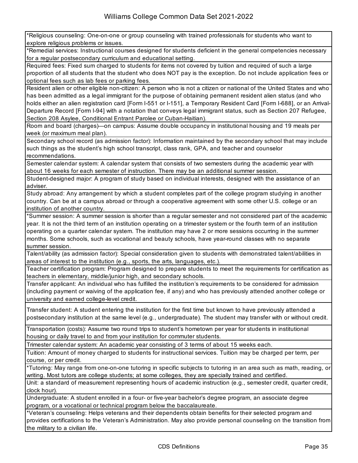\*Religious counseling: One-on-one or group counseling with trained professionals for students who want to explore religious problems or issues.

\*Remedial services: Instructional courses designed for students deficient in the general competencies necessary for a regular postsecondary curriculum and educational setting.

Required fees: Fixed sum charged to students for items not covered by tuition and required of such a large proportion of all students that the student who does NOT pay is the exception. Do not include application fees or optional fees such as lab fees or parking fees.

Resident alien or other eligible non-citizen: A person who is not a citizen or national of the United States and who has been admitted as a legal immigrant for the purpose of obtaining permanent resident alien status (and who holds either an alien registration card [Form I-551 or I-151], a Temporary Resident Card [Form I-688], or an Arrival-Departure Record [Form I-94] with a notation that conveys legal immigrant status, such as Section 207 Refugee, Section 208 Asylee, Conditional Entrant Parolee or Cuban-Haitian).

Room and board (charges)—on campus: Assume double occupancy in institutional housing and 19 meals per week (or maximum meal plan).

Secondary school record (as admission factor): Information maintained by the secondary school that may include such things as the student's high school transcript, class rank, GPA, and teacher and counselor recommendations.

Semester calendar system: A calendar system that consists of two semesters during the academic year with about 16 weeks for each semester of instruction. There may be an additional summer session.

Student-designed major: A program of study based on individual interests, designed with the assistance of an adviser.

Study abroad: Any arrangement by which a student completes part of the college program studying in another country. Can be at a campus abroad or through a cooperative agreement with some other U.S. college or an institution of another country.

\*Summer session: A summer session is shorter than a regular semester and not considered part of the academic year. It is not the third term of an institution operating on a trimester system or the fourth term of an institution operating on a quarter calendar system. The institution may have 2 or more sessions occurring in the summer months. Some schools, such as vocational and beauty schools, have year-round classes with no separate summer session.

Talent/ability (as admission factor): Special consideration given to students with demonstrated talent/abilities in areas of interest to the institution (e.g., sports, the arts, languages, etc.).

Teacher certification program: Program designed to prepare students to meet the requirements for certification as teachers in elementary, middle/junior high, and secondary schools.

Transfer applicant: An individual who has fulfilled the institution's requirements to be considered for admission (including payment or waiving of the application fee, if any) and who has previously attended another college or university and earned college-level credit.

Transfer student: A student entering the institution for the first time but known to have previously attended a postsecondary institution at the same level (e.g., undergraduate). The student may transfer with or without credit.

Transportation (costs): Assume two round trips to student's hometown per year for students in institutional housing or daily travel to and from your institution for commuter students.

Trimester calendar system: An academic year consisting of 3 terms of about 15 weeks each.

Tuition: Amount of money charged to students for instructional services. Tuition may be charged per term, per course, or per credit.

\*Tutoring: May range from one-on-one tutoring in specific subjects to tutoring in an area such as math, reading, or writing. Most tutors are college students; at some colleges, they are specially trained and certified.

Unit: a standard of measurement representing hours of academic instruction (e.g., semester credit, quarter credit, clock hour).

Undergraduate: A student enrolled in a four- or five-year bachelor's degree program, an associate degree program, or a vocational or technical program below the baccalaureate.

\*Veteran's counseling: Helps veterans and their dependents obtain benefits for their selected program and provides certifications to the Veteran's Administration. May also provide personal counseling on the transition from the military to a civilian life.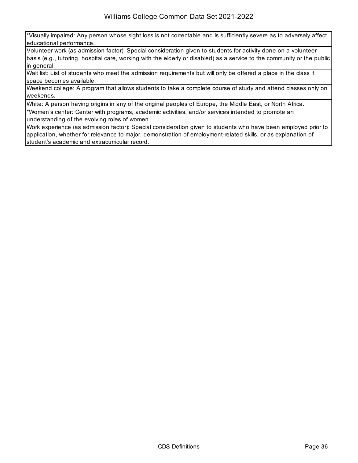\*Visually impaired: Any person whose sight loss is not correctable and is sufficiently severe as to adversely affect educational performance.

Volunteer work (as admission factor): Special consideration given to students for activity done on a volunteer basis (e.g., tutoring, hospital care, working with the elderly or disabled) as a service to the community or the public in general.

Wait list: List of students who meet the admission requirements but will only be offered a place in the class if space becomes available.

Weekend college: A program that allows students to take a complete course of study and attend classes only on weekends.

White: A person having origins in any of the original peoples of Europe, the Middle East, or North Africa.

\*Women's center: Center with programs, academic activities, and/or services intended to promote an understanding of the evolving roles of women.

Work experience (as admission factor): Special consideration given to students who have been employed prior to application, whether for relevance to major, demonstration of employment-related skills, or as explanation of student's academic and extracurricular record.